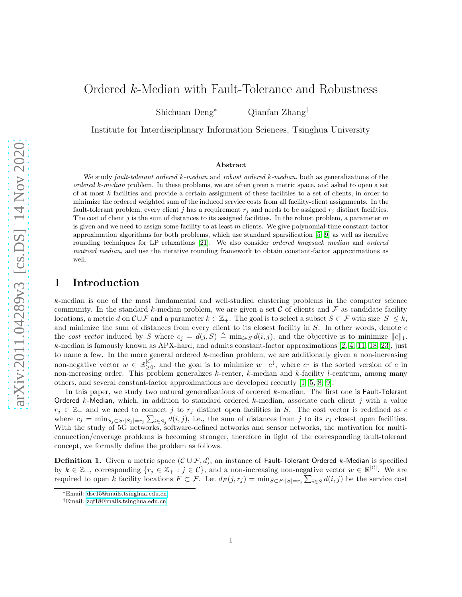# Ordered k-Median with Fault-Tolerance and Robustness

Shichuan Deng<sup>∗</sup> Qianfan Zhang†

Institute for Interdisciplinary Information Sciences, Tsinghua University

#### Abstract

We study fault-tolerant ordered k-median and robust ordered k-median, both as generalizations of the  $ordered\ k\text{-}median\ problem.$  In these problems, we are often given a metric space, and asked to open a set of at most k facilities and provide a certain assignment of these facilities to a set of clients, in order to minimize the ordered weighted sum of the induced service costs from all facility-client assignments. In the fault-tolerant problem, every client j has a requirement  $r_j$  and needs to be assigned  $r_j$  distinct facilities. The cost of client j is the sum of distances to its assigned facilities. In the robust problem, a parameter  $m$ is given and we need to assign some facility to at least  $m$  clients. We give polynomial-time constant-factor approximation algorithms for both problems, which use standard sparsification [\[5,](#page-8-0) [9\]](#page-8-1) as well as iterative rounding techniques for LP relaxations [\[21\]](#page-9-0). We also consider *ordered knapsack median* and *ordered* matroid median, and use the iterative rounding framework to obtain constant-factor approximations as well.

# 1 Introduction

k-median is one of the most fundamental and well-studied clustering problems in the computer science community. In the standard k-median problem, we are given a set C of clients and F as candidate facility locations, a metric d on  $\mathcal{C} \cup \mathcal{F}$  and a parameter  $k \in \mathbb{Z}_+$ . The goal is to select a subset  $S \subset \mathcal{F}$  with size  $|S| \leq k$ , and minimize the sum of distances from every client to its closest facility in S. In other words, denote c the cost vector induced by S where  $c_j = d(j, S) \triangleq \min_{i \in S} d(i, j)$ , and the objective is to minimize  $||c||_1$ . k-median is famously known as APX-hard, and admits constant-factor approximations [\[2,](#page-8-2) [4,](#page-8-3) [11,](#page-9-1) [18,](#page-9-2) [23\]](#page-9-3), just to name a few. In the more general ordered k-median problem, we are additionally given a non-increasing non-negative vector  $w \in \mathbb{R}_{\geq 0}^{|\mathcal{C}|}$  $\geq 0$ , and the goal is to minimize  $w \cdot c^{\downarrow}$ , where  $c^{\downarrow}$  is the sorted version of c in non-increasing order. This problem generalizes  $k$ -center,  $k$ -median and  $k$ -facility l-centrum, among many others, and several constant-factor approximations are developed recently [\[1,](#page-8-4) [5,](#page-8-0) [8,](#page-8-5) [9\]](#page-8-1).

In this paper, we study two natural generalizations of ordered k-median. The first one is **Fault-Tolerant** Ordered k-Median, which, in addition to standard ordered k-median, associate each client j with a value  $r_j \in \mathbb{Z}_+$  and we need to connect j to  $r_j$  distinct open facilities in S. The cost vector is redefined as c where  $c_j = \min_{S_j \subset S: |S_j|=r_j} \sum_{i \in S_j} d(i,j)$ , i.e., the sum of distances from j to its  $r_j$  closest open facilities. With the study of 5G networks, software-defined networks and sensor networks, the motivation for multiconnection/coverage problems is becoming stronger, therefore in light of the corresponding fault-tolerant concept, we formally define the problem as follows.

**Definition 1.** Given a metric space  $(C \cup \mathcal{F}, d)$ , an instance of Fault-Tolerant Ordered k-Median is specified by  $k \in \mathbb{Z}_+$ , corresponding  $\{r_j \in \mathbb{Z}_+ : j \in \mathcal{C}\}$ , and a non-increasing non-negative vector  $w \in \mathbb{R}^{|\mathcal{C}|}$ . We are required to open k facility locations  $F \subset \mathcal{F}$ . Let  $d_F(j,r_j) = \min_{S \subset F : |S|=r_j} \sum_{i \in S} d(i,j)$  be the service cost

<sup>∗</sup>Email: [dsc15@mails.tsinghua.edu.cn](mailto:dsc15@mails.tsinghua.edu.cn)

<sup>†</sup>Email: [zqf18@mails.tsinghua.edu.cn](mailto:zqf18@mails.tsinghua.edu.cn)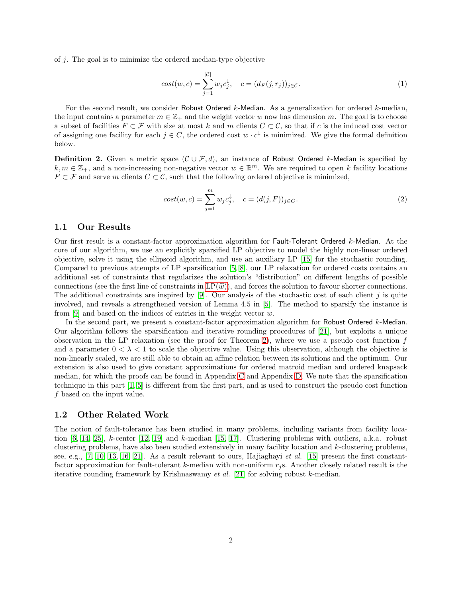of j. The goal is to minimize the ordered median-type objective

$$
cost(w, c) = \sum_{j=1}^{|\mathcal{C}|} w_j c_j^{\downarrow}, \quad c = (d_F(j, r_j))_{j \in \mathcal{C}}.
$$
\n
$$
(1)
$$

For the second result, we consider Robust Ordered k-Median. As a generalization for ordered k-median, the input contains a parameter  $m \in \mathbb{Z}_+$  and the weight vector w now has dimension m. The goal is to choose a subset of facilities  $F \subset \mathcal{F}$  with size at most k and m clients  $C \subset \mathcal{C}$ , so that if c is the induced cost vector of assigning one facility for each  $j \in C$ , the ordered cost  $w \cdot c^{\downarrow}$  is minimized. We give the formal definition below.

**Definition 2.** Given a metric space  $(C \cup \mathcal{F}, d)$ , an instance of Robust Ordered k-Median is specified by  $k, m \in \mathbb{Z}_+$ , and a non-increasing non-negative vector  $w \in \mathbb{R}^m$ . We are required to open k facility locations  $F \subset \mathcal{F}$  and serve m clients  $C \subset \mathcal{C}$ , such that the following ordered objective is minimized,

$$
cost(w, c) = \sum_{j=1}^{m} w_j c_j^{\downarrow}, \quad c = (d(j, F))_{j \in C}.
$$
\n(2)

### 1.1 Our Results

Our first result is a constant-factor approximation algorithm for Fault-Tolerant Ordered k-Median. At the core of our algorithm, we use an explicitly sparsified LP objective to model the highly non-linear ordered objective, solve it using the ellipsoid algorithm, and use an auxiliary LP [\[15\]](#page-9-4) for the stochastic rounding. Compared to previous attempts of LP sparsification [\[5,](#page-8-0) [8\]](#page-8-5), our LP relaxation for ordered costs contains an additional set of constraints that regularizes the solution's "distribution" on different lengths of possible connections (see the first line of constraints in  $LP(\tilde{w})$ ), and forces the solution to favour shorter connections. The additional constraints are inspired by [\[9\]](#page-8-1). Our analysis of the stochastic cost of each client  $j$  is quite involved, and reveals a strengthened version of Lemma 4.5 in [\[5\]](#page-8-0). The method to sparsify the instance is from  $[9]$  and based on the indices of entries in the weight vector w.

In the second part, we present a constant-factor approximation algorithm for Robust Ordered k-Median. Our algorithm follows the sparsification and iterative rounding procedures of [\[21\]](#page-9-0), but exploits a unique observation in the LP relaxation (see the proof for Theorem [2\)](#page-5-0), where we use a pseudo cost function  $f$ and a parameter  $0 < \lambda < 1$  to scale the objective value. Using this observation, although the objective is non-linearly scaled, we are still able to obtain an affine relation between its solutions and the optimum. Our extension is also used to give constant approximations for ordered matroid median and ordered knapsack median, for which the proofs can be found in Appendix [C](#page-18-0) and Appendix [D.](#page-19-0) We note that the sparsification technique in this part [\[1,](#page-8-4) [5\]](#page-8-0) is different from the first part, and is used to construct the pseudo cost function f based on the input value.

### 1.2 Other Related Work

The notion of fault-tolerance has been studied in many problems, including variants from facility location  $[6, 14, 25]$  $[6, 14, 25]$  $[6, 14, 25]$ , k-center  $[12, 19]$  $[12, 19]$  and k-median  $[15, 17]$  $[15, 17]$ . Clustering problems with outliers, a.k.a. robust clustering problems, have also been studied extensively in many facility location and k-clustering problems, see, e.g., [\[7,](#page-8-7) [10,](#page-9-10) [13,](#page-9-11) [16,](#page-9-12) [21\]](#page-9-0). As a result relevant to ours, Hajiaghayi et al. [\[15\]](#page-9-4) present the first constantfactor approximation for fault-tolerant k-median with non-uniform  $r_i$  s. Another closely related result is the iterative rounding framework by Krishnaswamy et al. [\[21\]](#page-9-0) for solving robust k-median.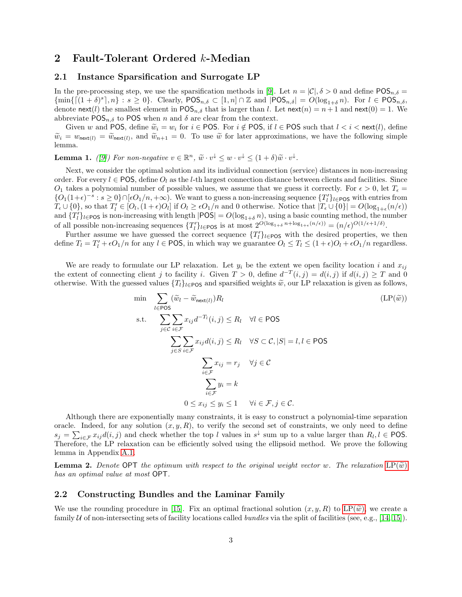## 2 Fault-Tolerant Ordered k-Median

### 2.1 Instance Sparsification and Surrogate LP

In the pre-processing step, we use the sparsification methods in [\[9\]](#page-8-1). Let  $n = |\mathcal{C}|$ ,  $\delta > 0$  and define POS<sub>n, $\delta$ </sub>  ${\min\{\lceil (1+\delta)^s\rceil, n\}} : s \ge 0$ . Clearly,  $\mathsf{POS}_{n,\delta} \subset [1,n] \cap \mathbb{Z}$  and  $|\mathsf{POS}_{n,\delta}| = O(\log_{1+\delta} n)$ . For  $l \in \mathsf{POS}_{n,\delta}$ , denote next(l) the smallest element in POS<sub>n,δ</sub> that is larger than l. Let next(n) = n + 1 and next(0) = 1. We abbreviate  $POS_{n,\delta}$  to POS when n and  $\delta$  are clear from the context.

Given w and POS, define  $\widetilde{w}_i = w_i$  for  $i \in POS$ . For  $i \notin POS$ , if  $l \in POS$  such that  $l < i < \text{next}(l)$ , define  $\widetilde{w}_i = w_{\text{next}(l)} = \widetilde{w}_{\text{next}(l)}$ , and  $\widetilde{w}_{n+1} = 0$ . To use  $\widetilde{w}$  for later approximations, we have the following simple lemma.

<span id="page-2-1"></span>**Lemma 1.** ([\[9\]](#page-8-1)) For non-negative  $v \in \mathbb{R}^n$ ,  $\tilde{w} \cdot v^{\downarrow} \leq w \cdot v^{\downarrow} \leq (1 + \delta) \tilde{w} \cdot v^{\downarrow}$ .

Next, we consider the optimal solution and its individual connection (service) distances in non-increasing order. For every  $l \in POS$ , define  $O_l$  as the l-th largest connection distance between clients and facilities. Since  $O_1$  takes a polynomial number of possible values, we assume that we guess it correctly. For  $\epsilon > 0$ , let  $T_{\epsilon} =$  ${O_1(1+\epsilon)^{-s} : s \ge 0} \cap [\epsilon O_1/n, +\infty)$ . We want to guess a non-increasing sequence  ${T_l \brace l\in \text{POS}}$  with entries from  $T_{\epsilon} \cup \{0\}$ , so that  $T'_{l} \in [O_{l}, (1+\epsilon)O_{l}]$  if  $O_{l} \geq \epsilon O_{1}/n$  and 0 otherwise. Notice that  $|T_{\epsilon} \cup \{0\}| = O(\log_{1+\epsilon}(n/\epsilon))$ and  $\{T_l'\}_{l\in\text{POS}}$  is non-increasing with length  $|\text{POS}| = O(\log_{1+\delta} n)$ , using a basic counting method, the number of all possible non-increasing sequences  $\{T'_{l}\}_{l\in\text{POS}}$  is at most  $2^{O(\log_{1+\delta} n + \log_{1+\epsilon}(n/\epsilon))} = (n/\epsilon)^{O(1/\epsilon+1/\delta)}$ .

Further assume we have guessed the correct sequence  $\{T_l'\}_{l\in\text{POS}}$  with the desired properties, we then define  $T_l = T'_l + \epsilon O_1/n$  for any  $l \in \text{POS}$ , in which way we guarantee  $O_l \leq T_l \leq (1+\epsilon)O_l + \epsilon O_1/n$  regardless.

We are ready to formulate our LP relaxation. Let  $y_i$  be the extent we open facility location i and  $x_{ij}$ the extent of connecting client j to facility i. Given  $T > 0$ , define  $d^{-T}(i, j) = d(i, j)$  if  $d(i, j) \geq T$  and 0 otherwise. With the guessed values  $\{T_l\}_{l\in POS}$  and sparsified weights  $\tilde{w}$ , our LP relaxation is given as follows,

<span id="page-2-0"></span>
$$
\min \sum_{l \in \text{POS}} (\tilde{w}_l - \tilde{w}_{\text{next}(l)}) R_l \qquad (\text{LP}(\tilde{w}))
$$
\n
$$
\text{s.t.} \sum_{j \in \mathcal{C}} \sum_{i \in \mathcal{F}} x_{ij} d^{-T_l}(i, j) \le R_l \quad \forall l \in \text{POS}
$$
\n
$$
\sum_{j \in S} \sum_{i \in \mathcal{F}} x_{ij} d(i, j) \le R_l \quad \forall S \subset \mathcal{C}, |S| = l, l \in \text{POS}
$$
\n
$$
\sum_{i \in \mathcal{F}} x_{ij} = r_j \quad \forall j \in \mathcal{C}
$$
\n
$$
\sum_{i \in \mathcal{F}} y_i = k
$$
\n
$$
0 \le x_{ij} \le y_i \le 1 \quad \forall i \in \mathcal{F}, j \in \mathcal{C}.
$$
\n
$$
(L P(\tilde{w}))
$$

Although there are exponentially many constraints, it is easy to construct a polynomial-time separation oracle. Indeed, for any solution  $(x, y, R)$ , to verify the second set of constraints, we only need to define  $s_j = \sum_{i \in \mathcal{F}} x_{ij} d(i, j)$  and check whether the top l values in  $s^{\downarrow}$  sum up to a value larger than  $R_l, l \in \text{POS}$ . Therefore, the LP relaxation can be efficiently solved using the ellipsoid method. We prove the following lemma in Appendix [A.1.](#page-10-0)

<span id="page-2-2"></span>**Lemma 2.** Denote OPT the optimum with respect to the original weight vector w. The relaxation  $LP(\widetilde{w})$  $LP(\widetilde{w})$ has an optimal value at most OPT.

#### 2.2 Constructing Bundles and the Laminar Family

We use the rounding procedure in [\[15\]](#page-9-4). Fix an optimal fractional solution  $(x, y, R)$  to  $LP(\tilde{w})$ , we create a family  $U$  of non-intersecting sets of facility locations called *bundles* via the split of facilities (see, e.g., [\[14,](#page-9-5) [15\]](#page-9-4)).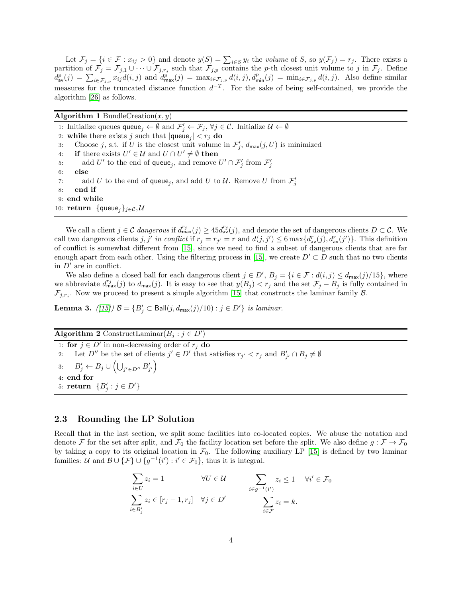Let  $\mathcal{F}_j = \{i \in \mathcal{F} : x_{ij} > 0\}$  and denote  $y(S) = \sum_{i \in S} y_i$  the volume of S, so  $y(\mathcal{F}_j) = r_j$ . There exists a partition of  $\mathcal{F}_j = \mathcal{F}_{j,1} \cup \cdots \cup \mathcal{F}_{j,r_j}$  such that  $\mathcal{F}_{j,p}$  contains the p-th closest unit volume to j in  $\mathcal{F}_j$ . Define  $d_{av}^p(j) = \sum_{i \in \mathcal{F}_{j,p}} x_{ij} d(i, j)$  and  $d_{max}^p(j) = \max_{i \in \mathcal{F}_{j,p}} d(i, j), d_{min}^p(j) = \min_{i \in \mathcal{F}_{j,p}} d(i, j)$ . Also define similar measures for the truncated distance function  $d^{-T}$ . For the sake of being self-contained, we provide the algorithm [\[26\]](#page-9-13) as follows.

Algorithm 1 BundleCreation $(x, y)$ 

1: Initialize queues  $\mathsf{queue}_j \leftarrow \emptyset$  and  $\mathcal{F}'_j \leftarrow \mathcal{F}_j$ ,  $\forall j \in \mathcal{C}$ . Initialize  $\mathcal{U} \leftarrow \emptyset$ 

- 2: while there exists j such that  $|\text{queue}_j| < r_j$  do
- 3: Choose j, s.t. if U is the closest unit volume in  $\mathcal{F}'_j$ ,  $d_{\text{max}}(j, U)$  is minimized
- 4: if there exists  $U' \in \mathcal{U}$  and  $U \cap U' \neq \emptyset$  then
- 5: add U' to the end of queue<sub>j</sub>, and remove  $U' \cap \mathcal{F}'_j$  from  $\mathcal{F}'_j$
- 6: else
- 7: add U to the end of queue<sub>j</sub>, and add U to U. Remove U from  $\mathcal{F}'_j$
- 8: end if
- 9: end while

10: return  $\{\text{queue}_i\}_{i \in \mathcal{C}}$ ,  $\mathcal{U}$ 

We call a client  $j \in \mathcal{C}$  dangerous if  $d_{\max}^{r_j}(j) \geq 45d_{\text{av}}^{r_j}(j)$ , and denote the set of dangerous clients  $D \subset \mathcal{C}$ . We call two dangerous clients j, j' in conflict if  $r_j = r_{j'} = r$  and  $d(j, j') \leq 6 \max\{d_{av}^r(j), d_{av}^r(j')\}$ . This definition of conflict is somewhat different from [\[15\]](#page-9-4), since we need to find a subset of dangerous clients that are far enough apart from each other. Using the filtering process in [\[15\]](#page-9-4), we create  $D' \subset D$  such that no two clients in  $D'$  are in conflict.

We also define a closed ball for each dangerous client  $j \in D'$ ,  $B_j = \{i \in \mathcal{F} : d(i,j) \leq d_{\text{max}}(j)/15\}$ , where we abbreviate  $d_{\max}^{r_j}(j)$  to  $d_{\max}(j)$ . It is easy to see that  $y(B_j) < r_j$  and the set  $\mathcal{F}_j - B_j$  is fully contained in  $\mathcal{F}_{j,r_j}$ . Now we proceed to present a simple algorithm [\[15\]](#page-9-4) that constructs the laminar family  $\mathcal{B}$ .

**Lemma 3.** ([\[15\]](#page-9-4))  $\mathcal{B} = \{B'_j \subset \text{Ball}(j, d_{\text{max}}(j)/10) : j \in D'\}$  is laminar.

Algorithm 2 ConstructLaminar $(B_j : j \in D')$ 

1: **for**  $j \in D'$  in non-decreasing order of  $r_j$  **do** 2: Let  $D''$  be the set of clients  $j' \in D'$  that satisfies  $r_{j'} < r_j$  and  $B'_{j'} \cap B_j \neq \emptyset$ 3:  $B'_j \leftarrow B_j \cup \left( \bigcup_{j' \in D''} B'_{j'} \right)$ 4: end for 5: **return**  $\{B'_j : j \in D'\}$ 

#### 2.3 Rounding the LP Solution

Recall that in the last section, we split some facilities into co-located copies. We abuse the notation and denote F for the set after split, and  $\mathcal{F}_0$  the facility location set before the split. We also define  $g : \mathcal{F} \to \mathcal{F}_0$ by taking a copy to its original location in  $\mathcal{F}_0$ . The following auxiliary LP [\[15\]](#page-9-4) is defined by two laminar families: U and  $\mathcal{B} \cup \{\mathcal{F}\} \cup \{g^{-1}(i'): i' \in \mathcal{F}_0\}$ , thus it is integral.

$$
\sum_{i \in U} z_i = 1 \qquad \forall U \in \mathcal{U} \qquad \sum_{i \in g^{-1}(i')} z_i \le 1 \qquad \forall i' \in \mathcal{F}_0
$$

$$
\sum_{i \in B'_j} z_i \in [r_j - 1, r_j] \quad \forall j \in D' \qquad \sum_{i \in \mathcal{F}} z_i = k.
$$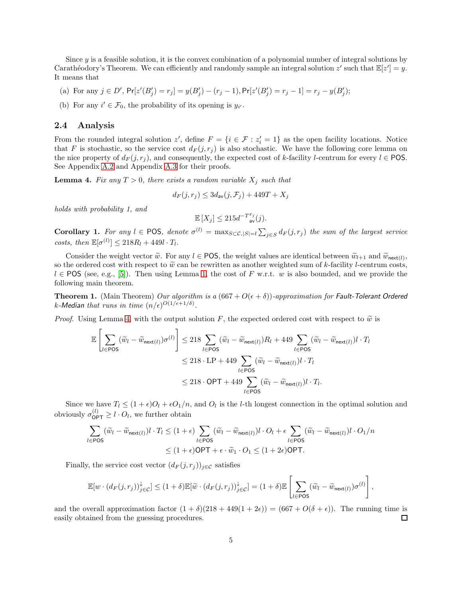Since  $\eta$  is a feasible solution, it is the convex combination of a polynomial number of integral solutions by Carathéodory's Theorem. We can efficiently and randomly sample an integral solution z' such that  $\mathbb{E}[z'] = y$ . It means that

- (a) For any  $j \in D'$ ,  $Pr[z'(B'_j) = r_j] = y(B'_j) (r_j 1)$ ,  $Pr[z'(B'_j) = r_j 1] = r_j y(B'_j)$ ;
- (b) For any  $i' \in \mathcal{F}_0$ , the probability of its opening is  $y_{i'}$ .

#### 2.4 Analysis

From the rounded integral solution z', define  $F = \{i \in \mathcal{F} : z'_i = 1\}$  as the open facility locations. Notice that F is stochastic, so the service cost  $d_F(j, r_j)$  is also stochastic. We have the following core lemma on the nice property of  $d_F(j, r_i)$ , and consequently, the expected cost of k-facility l-centrum for every  $l \in \text{POS}$ . See Appendix [A.2](#page-10-1) and Appendix [A.3](#page-14-0) for their proofs.

<span id="page-4-0"></span>**Lemma 4.** Fix any  $T > 0$ , there exists a random variable  $X_j$  such that

$$
d_F(j,r_j) \le 3d_{\text{av}}(j,\mathcal{F}_j) + 449T + X_j
$$

holds with probability 1, and

$$
\mathbb{E}\left[X_j\right]\leq 215d^{-T^{r_j}}_{\text{ av}}(j).
$$

<span id="page-4-1"></span>**Corollary 1.** For any  $l \in \text{POS}$ , denote  $\sigma^{(l)} = \max_{S \subset \mathcal{C}, |S| = l} \sum_{j \in S} d_F(j, r_j)$  the sum of the largest service costs, then  $\mathbb{E}[\sigma^{(l)}] \leq 218R_l + 449l \cdot T_l$ .

Consider the weight vector  $\widetilde{w}$ . For any  $l \in POS$ , the weight values are identical between  $\widetilde{w}_{l+1}$  and  $\widetilde{w}_{\text{next}(l)}$ , so the ordered cost with respect to  $\tilde{w}$  can be rewritten as another weighted sum of k-facility l-centrum costs,  $l \in POS$  (see, e.g., [\[5\]](#page-8-0)). Then using Lemma [1,](#page-2-1) the cost of F w.r.t. w is also bounded, and we provide the following main theorem.

**Theorem 1.** (Main Theorem) Our algorithm is a  $(667 + O(\epsilon + \delta))$ -approximation for Fault-Tolerant Ordered k-Median that runs in time  $(n/\epsilon)^{O(1/\epsilon+1/\delta)}$ .

*Proof.* Using Lemma [4,](#page-4-0) with the output solution F, the expected ordered cost with respect to  $\tilde{w}$  is

$$
\mathbb{E}\left[\sum_{l\in\text{POS}}(\widetilde{w}_{l}-\widetilde{w}_{\text{next}(l)})\sigma^{(l)}\right] \leq 218\sum_{l\in\text{POS}}(\widetilde{w}_{l}-\widetilde{w}_{\text{next}(l)})R_{l}+449\sum_{l\in\text{POS}}(\widetilde{w}_{l}-\widetilde{w}_{\text{next}(l)})l\cdot T_{l}
$$

$$
\leq 218\cdot\text{LP}+449\sum_{l\in\text{POS}}(\widetilde{w}_{l}-\widetilde{w}_{\text{next}(l)})l\cdot T_{l}
$$

$$
\leq 218\cdot\text{OPT}+449\sum_{l\in\text{POS}}(\widetilde{w}_{l}-\widetilde{w}_{\text{next}(l)})l\cdot T_{l}.
$$

Since we have  $T_l \leq (1+\epsilon)O_l + \epsilon O_1/n$ , and  $O_l$  is the *l*-th longest connection in the optimal solution and obviously  $\sigma_{\mathsf{OPT}}^{(l)} \geq l \cdot O_l$ , we further obtain

$$
\sum_{l \in \text{POS}} (\tilde{w}_l - \tilde{w}_{\text{next}(l)}) l \cdot T_l \le (1 + \epsilon) \sum_{l \in \text{POS}} (\tilde{w}_l - \tilde{w}_{\text{next}(l)}) l \cdot O_l + \epsilon \sum_{l \in \text{POS}} (\tilde{w}_l - \tilde{w}_{\text{next}(l)}) l \cdot O_1 / n
$$
  

$$
\le (1 + \epsilon) \text{OPT} + \epsilon \cdot \tilde{w}_1 \cdot O_1 \le (1 + 2\epsilon) \text{OPT}.
$$

Finally, the service cost vector  $(d_F(j, r_j))_{j \in \mathcal{C}}$  satisfies

$$
\mathbb{E}[w \cdot (d_F(j,r_j))_{j \in \mathcal{C}}^{\downarrow}] \leq (1+\delta)\mathbb{E}[\widetilde{w} \cdot (d_F(j,r_j))_{j \in \mathcal{C}}^{\downarrow}] = (1+\delta)\mathbb{E}\left[\sum_{l \in \text{POS}} (\widetilde{w}_l - \widetilde{w}_{\text{next}(l)}) \sigma^{(l)}\right],
$$

and the overall approximation factor  $(1 + \delta)(218 + 449(1 + 2\epsilon)) = (667 + O(\delta + \epsilon))$ . The running time is easily obtained from the guessing procedures. □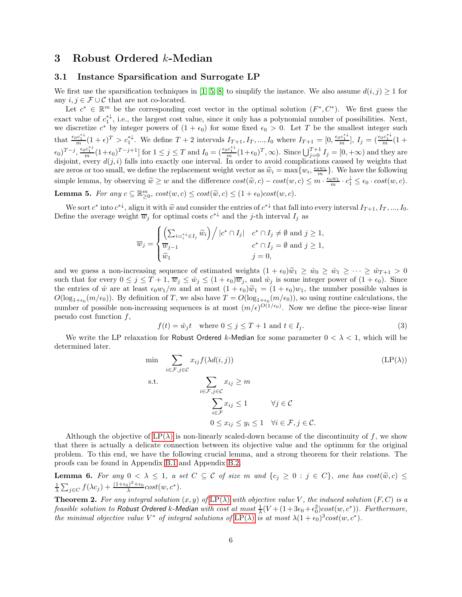## 3 Robust Ordered k-Median

### 3.1 Instance Sparsification and Surrogate LP

We first use the sparsification techniques in [\[1,](#page-8-4) [5,](#page-8-0) [8\]](#page-8-5) to simplify the instance. We also assume  $d(i, j) \ge 1$  for any  $i, j \in \mathcal{F} \cup \mathcal{C}$  that are not co-located.

Let  $c^* \in \mathbb{R}^m$  be the corresponding cost vector in the optimal solution  $(F^*, C^*)$ . We first guess the exact value of  $c_1^{\dagger\downarrow}$ , i.e., the largest cost value, since it only has a polynomial number of possibilities. Next, we discretize  $c^*$  by integer powers of  $(1 + \epsilon_0)$  for some fixed  $\epsilon_0 > 0$ . Let T be the smallest integer such that  $\frac{\epsilon_0 c_1^{* \downarrow}}{m} (1 + \epsilon)^T > c_1^{* \downarrow}$ . We define  $T + 2$  intervals  $I_{T+1}, I_T, ..., I_0$  where  $I_{T+1} = [0, \frac{\epsilon_0 c_1^{* \downarrow}}{m}], I_j = (\frac{\epsilon_0 c_1^{* \downarrow}}{m} (1 + \epsilon)^T)$  $(\epsilon_0)^{T-j}, \frac{\epsilon_0 c_1^{* \perp}}{m} (1+\epsilon_0)^{T-j+1}]$  for  $1 \leq j \leq T$  and  $I_0 = \left(\frac{\epsilon_0 c_1^{* \perp}}{m} (1+\epsilon_0)^T, \infty\right)$ . Since  $\bigcup_{j=0}^{T+1} I_j = [0, +\infty)$  and they are disjoint, every  $d(j, i)$  falls into exactly one interval. In order to avoid complications caused by weights that are zeros or too small, we define the replacement weight vector as  $\widetilde{w}_i = \max\{w_i, \frac{\epsilon_0 w_1}{m}\}\.$  We have the following simple lemma, by observing  $\widetilde{w} \geq w$  and the difference  $cost(\widetilde{w}, c) - cost(w, c) \leq m \cdot \frac{\epsilon_0 w_1}{m} \cdot c_1^{\downarrow} \leq \epsilon_0 \cdot cost(w, c)$ . **Lemma 5.** For any  $c \subseteq \mathbb{R}_{\geq 0}^m$ ,  $cost(w, c) \leq cost(\tilde{w}, c) \leq (1 + \epsilon_0)cost(w, c)$ .

<span id="page-5-3"></span>We sort  $c^*$  into  $c^{*\downarrow}$ , align it with  $\widetilde{w}$  and consider the entries of  $c^{*\downarrow}$  that fall into every interval  $I_{T+1}, I_T, ..., I_0$ . Define the average weight  $\overline{w}_j$  for optimal costs  $c^{*\downarrow}$  and the j-th interval  $I_j$  as

$$
\overline{w}_j = \begin{cases}\n\left(\sum_{i:c_i^* \downarrow \in I_j} \widetilde{w}_i\right) / |c^* \cap I_j| & c^* \cap I_j \neq \emptyset \text{ and } j \geq 1, \\
\overline{w}_{j-1} & c^* \cap I_j = \emptyset \text{ and } j \geq 1, \\
\widetilde{w}_1 & j = 0,\n\end{cases}
$$

and we guess a non-increasing sequence of estimated weights  $(1 + \epsilon_0)\tilde{w}_1 \geq \tilde{w}_0 \geq \tilde{w}_1 \geq \cdots \geq \tilde{w}_{T+1} > 0$ such that for every  $0 \le j \le T+1$ ,  $\overline{w}_j \le \hat{w}_j \le (1+\epsilon_0)\overline{w}_j$ , and  $\hat{w}_j$  is some integer power of  $(1+\epsilon_0)$ . Since the entries of  $\hat{w}$  are at least  $\epsilon_0 w_1/m$  and at most  $(1 + \epsilon_0)\tilde{w}_1 = (1 + \epsilon_0)w_1$ , the number possible values is  $O(\log_{1+\epsilon_0}(m/\epsilon_0))$ . By definition of T, we also have  $T = O(\log_{1+\epsilon_0}(m/\epsilon_0))$ , so using routine calculations, the number of possible non-increasing sequences is at most  $(m/\epsilon)^{O(1/\epsilon_0)}$ . Now we define the piece-wise linear pseudo cost function f,

<span id="page-5-1"></span>
$$
f(t) = \hat{w}_j t \quad \text{where } 0 \le j \le T + 1 \text{ and } t \in I_j. \tag{3}
$$

We write the LP relaxation for Robust Ordered k-Median for some parameter  $0 < \lambda < 1$ , which will be determined later.

$$
\min \sum_{i \in \mathcal{F}, j \in \mathcal{C}} x_{ij} f(\lambda d(i, j)) \qquad (\text{LP}(\lambda))
$$
\n
$$
\text{s.t.} \sum_{i \in \mathcal{F}, j \in \mathcal{C}} x_{ij} \ge m
$$
\n
$$
\sum_{i \in \mathcal{F}} x_{ij} \le 1 \qquad \forall j \in \mathcal{C}
$$
\n
$$
0 \le x_{ij} \le y_i \le 1 \quad \forall i \in \mathcal{F}, j \in \mathcal{C}.
$$
\n(11)

Although the objective of  $LP(\lambda)$  is non-linearly scaled-down because of the discontinuity of f, we show that there is actually a delicate connection between its objective value and the optimum for the original problem. To this end, we have the following crucial lemma, and a strong theorem for their relations. The proofs can be found in Appendix [B.1](#page-14-1) and Appendix [B.2.](#page-14-2)

<span id="page-5-2"></span>**Lemma 6.** For any  $0 < \lambda \leq 1$ , a set  $C \subseteq C$  of size m and  $\{c_j \geq 0 : j \in C\}$ , one has  $cost(\tilde{w}, c) \leq$  $\frac{1}{\lambda} \sum_{j \in C} f(\lambda c_j) + \frac{(1+\epsilon_0)^2 + \epsilon_0}{\lambda} cost(w, c^*).$ 

<span id="page-5-0"></span>**Theorem 2.** For any integral solution  $(x, y)$  of [LP\(](#page-5-1) $\lambda$ ) with objective value V, the induced solution  $(F, C)$  is a feasible solution to Robust Ordered k-Median with cost at most  $\frac{1}{\lambda}(V+(1+3\epsilon_0+\epsilon_0^2)cost(w,c^*))$ . Furthermore, the minimal objective value  $V^*$  of integral solutions of  $LP(\lambda)$  $LP(\lambda)$  is at most  $\lambda(1+\epsilon_0)^3 cost(w, c^*)$ .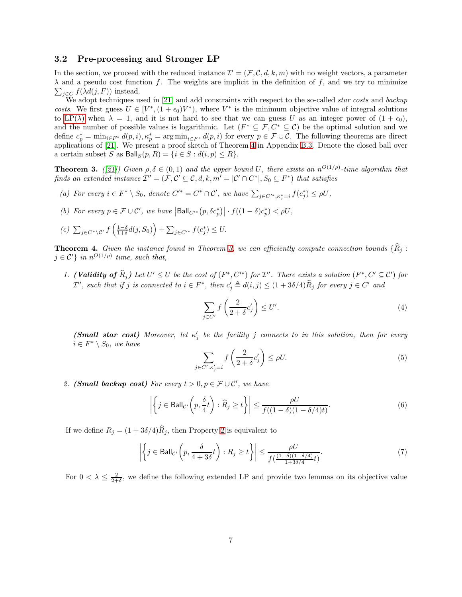### 3.2 Pre-processing and Stronger LP

In the section, we proceed with the reduced instance  $\mathcal{I}' = (\mathcal{F}, \mathcal{C}, d, k, m)$  with no weight vectors, a parameter  $\lambda$  and a pseudo cost function f. The weights are implicit in the definition of f, and we try to minimize  $\sum_{j \in C} f(\lambda d(j, F))$  instead.

We adopt techniques used in [\[21\]](#page-9-0) and add constraints with respect to the so-called *star costs* and *backup* costs. We first guess  $U \in [V^*, (1 + \epsilon_0)V^*)$ , where  $V^*$  is the minimum objective value of integral solutions to [LP\(](#page-5-1) $\lambda$ ) when  $\lambda = 1$ , and it is not hard to see that we can guess U as an integer power of  $(1 + \epsilon_0)$ , and the number of possible values is logarithmic. Let  $(F^* \subseteq \mathcal{F}, C^* \subseteq \mathcal{C})$  be the optimal solution and we define  $c_p^* = \min_{i \in F^*} d(p, i), \kappa_p^* = \arg \min_{i \in F^*} d(p, i)$  for every  $p \in \mathcal{F} \cup \mathcal{C}$ . The following theorems are direct applications of [\[21\]](#page-9-0). We present a proof sketch of Theorem [4](#page-6-0) in Appendix [B.3.](#page-15-0) Denote the closed ball over a certain subset S as  $B\text{all}_S(p, R) = \{i \in S : d(i, p) \leq R\}.$ 

<span id="page-6-1"></span>**Theorem 3.** ([\[21\]](#page-9-0)) Given  $\rho, \delta \in (0,1)$  and the upper bound U, there exists an  $n^{O(1/\rho)}$ -time algorithm that finds an extended instance  $\mathcal{I}'' = (\mathcal{F}, \mathcal{C}' \subseteq \mathcal{C}, d, k, m' = |\mathcal{C}' \cap C^*|, S_0 \subseteq F^*)$  that satisfies

- <span id="page-6-6"></span><span id="page-6-5"></span>(a) For every  $i \in F^* \setminus S_0$ , denote  $C'^* = C^* \cap C'$ , we have  $\sum_{j \in C'^*, \kappa_j^* = i} f(c_j^*) \le \rho U$ ,
- <span id="page-6-3"></span>(b) For every  $p \in \mathcal{F} \cup \mathcal{C}'$ , we have  $|\text{Ball}_{C'^*}(p, \delta c_p^*)| \cdot f((1 - \delta)c_p^*) < \rho U$ ,

$$
(c) \sum_{j \in C^* \setminus C'} f\left(\frac{1-\delta}{1+\delta}d(j, S_0)\right) + \sum_{j \in C'^*} f(c_j^*) \leq U.
$$

<span id="page-6-4"></span><span id="page-6-0"></span>**Theorem 4.** Given the instance found in Theorem [3,](#page-6-1) we can efficiently compute connection bounds  $\{\widehat{R}_j :$  $j \in \mathcal{C}'$  in  $n^{O(1/\rho)}$  time, such that,

1. (Validity of  $\hat{R}_j$ ) Let  $U' \leq U$  be the cost of  $(F^*, C'^*)$  for  $\mathcal{I}''$ . There exists a solution  $(F^*, C' \subseteq C')$  for  $\mathcal{I}'$ , such that if j is connected to  $i \in F^*$ , then  $c'_j \triangleq d(i, j) \leq (1 + 3\delta/4)\widehat{R}_j$  for every  $j \in C'$  and

$$
\sum_{j \in C'} f\left(\frac{2}{2+\delta} c'_j\right) \le U'.\tag{4}
$$

(Small star cost) Moreover, let  $\kappa'_j$  be the facility j connects to in this solution, then for every  $i \in F^* \setminus S_0$ , we have

$$
\sum_{j \in C': \kappa'_j = i} f\left(\frac{2}{2 + \delta} c'_j\right) \le \rho U. \tag{5}
$$

<span id="page-6-2"></span>2. (Small backup cost) For every  $t > 0, p \in \mathcal{F} \cup \mathcal{C}'$ , we have

$$
\left| \left\{ j \in \text{Ball}_{\mathcal{C}'} \left( p, \frac{\delta}{4} t \right) : \widehat{R}_j \ge t \right\} \right| \le \frac{\rho U}{f((1 - \delta)(1 - \delta/4)t)}.
$$
\n(6)

If we define  $R_j = (1 + 3\delta/4)\hat{R}_j$ , then Property [2](#page-6-2) is equivalent to

$$
\left| \left\{ j \in \text{Ball}_{\mathcal{C}'} \left( p, \frac{\delta}{4 + 3\delta} t \right) : R_j \ge t \right\} \right| \le \frac{\rho U}{f(\frac{(1 - \delta)(1 - \delta/4)}{1 + 3\delta/4} t)}.
$$
\n(7)

For  $0 < \lambda \leq \frac{2}{2+\delta}$ , we define the following extended LP and provide two lemmas on its objective value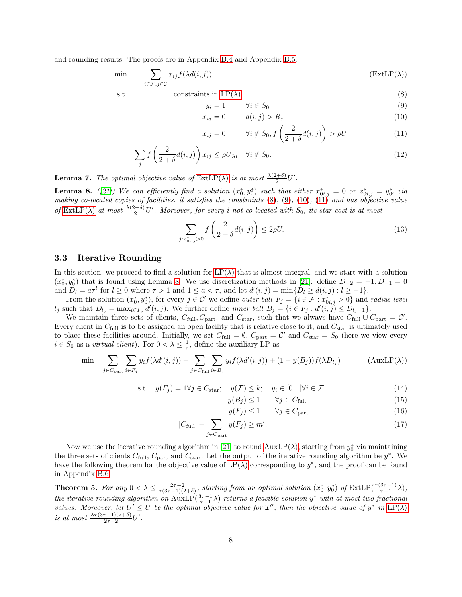and rounding results. The proofs are in Appendix [B.4](#page-16-0) and Appendix [B.5.](#page-16-1)

$$
\min \qquad \sum_{i \in \mathcal{F}, j \in \mathcal{C}} x_{ij} f(\lambda d(i, j)) \tag{ExtLP}(\lambda)
$$

$$
\mathbf{c}^+
$$

s.t. 
$$
\text{constraints in LP}(\lambda) \tag{8}
$$

<span id="page-7-3"></span><span id="page-7-2"></span><span id="page-7-1"></span><span id="page-7-0"></span>
$$
y_i = 1 \qquad \forall i \in S_0 \tag{9}
$$

$$
x_{ij} = 0 \qquad d(i, j) > R_j \tag{10}
$$

<span id="page-7-8"></span><span id="page-7-4"></span>
$$
x_{ij} = 0 \qquad \forall i \notin S_0, f\left(\frac{2}{2+\delta}d(i,j)\right) > \rho U \tag{11}
$$

$$
\sum_{j} f\left(\frac{2}{2+\delta}d(i,j)\right) x_{ij} \le \rho U y_i \quad \forall i \notin S_0.
$$
\n(12)

<span id="page-7-7"></span><span id="page-7-5"></span>**Lemma 7.** The optimal objective value of  $\text{ExtLP}(\lambda)$  is at most  $\frac{\lambda(2+\delta)}{2}U'$ .

**Lemma 8.** ([\[21\]](#page-9-0)) We can efficiently find a solution  $(x_0^*, y_0^*)$  such that either  $x_{0i,j}^* = 0$  or  $x_{0i,j}^* = y_{0i}^*$  via making co-located copies of facilities, it satisfies the constraints  $(8)$ ,  $(9)$ ,  $(10)$ ,  $(11)$  and has objective value of  $\text{ExtLP}(\lambda)$  at most  $\frac{\lambda(2+\delta)}{2}U'$ . Moreover, for every i not co-located with  $S_0$ , its star cost is at most

$$
\sum_{j:x_{0i,j}^* > 0} f\left(\frac{2}{2+\delta}d(i,j)\right) \le 2\rho U. \tag{13}
$$

#### 3.3 Iterative Rounding

In this section, we proceed to find a solution for  $LP(\lambda)$  that is almost integral, and we start with a solution  $(x_0^*, y_0^*)$  that is found using Lemma [8.](#page-7-5) We use discretization methods in [\[21\]](#page-9-0): define  $D_{-2} = -1, D_{-1} = 0$ and  $D_l = a\tau^l$  for  $l \geq 0$  where  $\tau > 1$  and  $1 \leq a < \tau$ , and let  $d'(i, j) = \min\{D_l \geq d(i, j) : l \geq -1\}$ .

From the solution  $(x_0^*, y_0^*)$ , for every  $j \in \mathcal{C}'$  we define *outer ball*  $F_j = \{i \in \mathcal{F} : x_{0i,j}^* > 0\}$  and *radius level*  $l_j$  such that  $D_{l_j} = \max_{i \in F_j} d'(i, j)$ . We further define *inner ball*  $B_j = \{i \in F_j : d'(i, j) \le D_{l_j-1}\}.$ 

We maintain three sets of clients,  $C_{\text{full}}$ ,  $C_{\text{part}}$ , and  $C_{\text{star}}$ , such that we always have  $C_{\text{full}} \cup C_{\text{part}} = C'$ . Every client in  $C_{\text{full}}$  is to be assigned an open facility that is relative close to it, and  $C_{\text{star}}$  is ultimately used to place these facilities around. Initially, we set  $C_{\text{full}} = \emptyset$ ,  $C_{\text{part}} = C'$  and  $C_{\text{star}} = S_0$  (here we view every  $i \in S_0$  as a *virtual client*). For  $0 < \lambda \leq \frac{1}{\tau}$ , define the auxiliary LP as

$$
\min \sum_{j \in C_{\text{part}}} \sum_{i \in F_j} y_i f(\lambda d'(i, j)) + \sum_{j \in C_{\text{full}}} \sum_{i \in B_j} y_i f(\lambda d'(i, j)) + (1 - y(B_j)) f(\lambda D_{l_j}) \tag{AuxLP(\lambda)}
$$

$$
\text{s.t.} \quad y(F_j) = 1 \forall j \in C_{\text{star}}; \quad y(\mathcal{F}) \le k; \quad y_i \in [0, 1] \forall i \in \mathcal{F} \tag{14}
$$

<span id="page-7-6"></span>
$$
y(B_j) \le 1 \qquad \forall j \in C_{\text{full}} \tag{15}
$$

<span id="page-7-11"></span><span id="page-7-10"></span>
$$
y(F_j) \le 1 \qquad \forall j \in C_{\text{part}} \tag{16}
$$

$$
|C_{\text{full}}| + \sum_{j \in C_{\text{part}}} y(F_j) \ge m'. \tag{17}
$$

Now we use the iterative rounding algorithm in [\[21\]](#page-9-0) to round  $\text{AuxLP}(\lambda)$ , starting from  $y_0^*$  via maintaining the three sets of clients  $C_{\text{full}}$ ,  $C_{\text{part}}$  and  $C_{\text{star}}$ . Let the output of the iterative rounding algorithm be  $y^*$ . We have the following theorem for the objective value of  $LP(\lambda)$  corresponding to  $y^*$ , and the proof can be found in Appendix [B.6.](#page-16-2)

<span id="page-7-9"></span>**Theorem 5.** For any  $0 < \lambda \leq \frac{2\tau - 2}{\tau(3\tau - 1)(2+\delta)}$ , starting from an optimal solution  $(x_0^*, y_0^*)$  of  $\text{ExtLP}(\frac{\tau(3\tau - 1)}{\tau - 1}\lambda)$ , the iterative rounding algorithm on  $\text{AuxLP}(\frac{3\tau-1}{\tau-1}\lambda)$  returns a feasible solution  $y^*$  with at most two fractional values. Moreover, let  $U' \leq U$  be the optimal objective value for  $\mathcal{I}'$ , then the objective value of  $y^*$  in  $\text{LP}(\lambda)$ is at most  $\frac{\lambda \tau (3\tau -1)(2+\delta)}{2\tau -2}U'$ .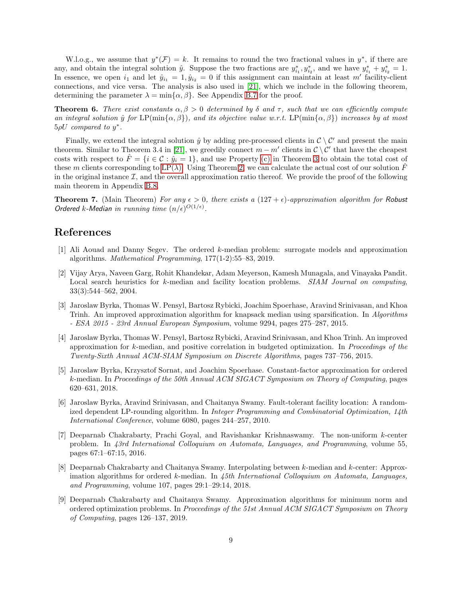W.l.o.g., we assume that  $y^*(\mathcal{F}) = k$ . It remains to round the two fractional values in  $y^*$ , if there are any, and obtain the integral solution  $\hat{y}$ . Suppose the two fractions are  $y_{i_1}^*, y_{i_2}^*$ , and we have  $y_{i_1}^* + y_{i_2}^* = 1$ . In essence, we open  $i_1$  and let  $\hat{y}_{i_1} = 1, \hat{y}_{i_2} = 0$  if this assignment can maintain at least m' facility-client connections, and vice versa. The analysis is also used in [\[21\]](#page-9-0), which we include in the following theorem, determining the parameter  $\lambda = \min{\{\alpha, \beta\}}$ . See Appendix [B.7](#page-17-0) for the proof.

<span id="page-8-8"></span>**Theorem 6.** There exist constants  $\alpha, \beta > 0$  determined by  $\delta$  and  $\tau$ , such that we can efficiently compute an integral solution  $\hat{y}$  for LP(min{ $\alpha, \beta$ ), and its objective value w.r.t. LP(min{ $\alpha, \beta$ ) increases by at most  $5\rho U$  compared to  $y^*$ .

Finally, we extend the integral solution  $\hat{y}$  by adding pre-processed clients in  $\mathcal{C} \setminus \mathcal{C}'$  and present the main theorem. Similar to Theorem 3.4 in [\[21\]](#page-9-0), we greedily connect  $m - m'$  clients in  $C \setminus C'$  that have the cheapest costs with respect to  $\hat{F} = \{i \in \mathcal{C} : \hat{y}_i = 1\}$ , and use Property [\(c\)](#page-6-3) in Theorem [3](#page-6-1) to obtain the total cost of these m clients corresponding to  $LP(\lambda)$ . Using Theorem [2,](#page-5-0) we can calculate the actual cost of our solution  $\hat{F}$ in the original instance  $\mathcal{I}$ , and the overall approximation ratio thereof. We provide the proof of the following main theorem in Appendix [B.8.](#page-18-1)

<span id="page-8-9"></span>**Theorem 7.** (Main Theorem) For any  $\epsilon > 0$ , there exists a (127 +  $\epsilon$ )-approximation algorithm for Robust Ordered k-Median in running time  $(n/\epsilon)^{O(1/\epsilon)}$ .

# <span id="page-8-4"></span>References

- [1] Ali Aouad and Danny Segev. The ordered k-median problem: surrogate models and approximation algorithms. Mathematical Programming, 177(1-2):55–83, 2019.
- <span id="page-8-2"></span>[2] Vijay Arya, Naveen Garg, Rohit Khandekar, Adam Meyerson, Kamesh Munagala, and Vinayaka Pandit. Local search heuristics for k-median and facility location problems. SIAM Journal on computing, 33(3):544–562, 2004.
- <span id="page-8-10"></span>[3] Jaroslaw Byrka, Thomas W. Pensyl, Bartosz Rybicki, Joachim Spoerhase, Aravind Srinivasan, and Khoa Trinh. An improved approximation algorithm for knapsack median using sparsification. In Algorithms - ESA 2015 - 23rd Annual European Symposium, volume 9294, pages 275–287, 2015.
- <span id="page-8-3"></span>[4] Jaroslaw Byrka, Thomas W. Pensyl, Bartosz Rybicki, Aravind Srinivasan, and Khoa Trinh. An improved approximation for k-median, and positive correlation in budgeted optimization. In Proceedings of the Twenty-Sixth Annual ACM-SIAM Symposium on Discrete Algorithms, pages 737–756, 2015.
- <span id="page-8-0"></span>[5] Jaroslaw Byrka, Krzysztof Sornat, and Joachim Spoerhase. Constant-factor approximation for ordered k-median. In Proceedings of the 50th Annual ACM SIGACT Symposium on Theory of Computing, pages 620–631, 2018.
- <span id="page-8-6"></span>[6] Jaroslaw Byrka, Aravind Srinivasan, and Chaitanya Swamy. Fault-tolerant facility location: A randomized dependent LP-rounding algorithm. In Integer Programming and Combinatorial Optimization, 14th International Conference, volume 6080, pages 244–257, 2010.
- <span id="page-8-7"></span>[7] Deeparnab Chakrabarty, Prachi Goyal, and Ravishankar Krishnaswamy. The non-uniform k-center problem. In 43rd International Colloquium on Automata, Languages, and Programming, volume 55, pages 67:1–67:15, 2016.
- <span id="page-8-5"></span>[8] Deeparnab Chakrabarty and Chaitanya Swamy. Interpolating between k-median and k-center: Approximation algorithms for ordered  $k$ -median. In  $45th$  International Colloquium on Automata, Languages, and Programming, volume 107, pages 29:1–29:14, 2018.
- <span id="page-8-1"></span>[9] Deeparnab Chakrabarty and Chaitanya Swamy. Approximation algorithms for minimum norm and ordered optimization problems. In Proceedings of the 51st Annual ACM SIGACT Symposium on Theory of Computing, pages 126–137, 2019.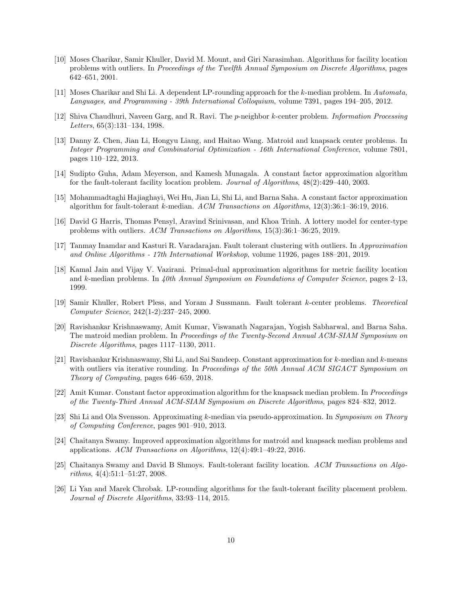- <span id="page-9-10"></span>[10] Moses Charikar, Samir Khuller, David M. Mount, and Giri Narasimhan. Algorithms for facility location problems with outliers. In Proceedings of the Twelfth Annual Symposium on Discrete Algorithms, pages 642–651, 2001.
- <span id="page-9-7"></span><span id="page-9-1"></span>[11] Moses Charikar and Shi Li. A dependent LP-rounding approach for the k-median problem. In Automata, Languages, and Programming - 39th International Colloquium, volume 7391, pages 194–205, 2012.
- [12] Shiva Chaudhuri, Naveen Garg, and R. Ravi. The p-neighbor k-center problem. Information Processing Letters, 65(3):131–134, 1998.
- <span id="page-9-11"></span>[13] Danny Z. Chen, Jian Li, Hongyu Liang, and Haitao Wang. Matroid and knapsack center problems. In Integer Programming and Combinatorial Optimization - 16th International Conference, volume 7801, pages 110–122, 2013.
- <span id="page-9-5"></span>[14] Sudipto Guha, Adam Meyerson, and Kamesh Munagala. A constant factor approximation algorithm for the fault-tolerant facility location problem. Journal of Algorithms, 48(2):429–440, 2003.
- <span id="page-9-12"></span><span id="page-9-4"></span>[15] Mohammadtaghi Hajiaghayi, Wei Hu, Jian Li, Shi Li, and Barna Saha. A constant factor approximation algorithm for fault-tolerant k-median. ACM Transactions on Algorithms, 12(3):36:1–36:19, 2016.
- [16] David G Harris, Thomas Pensyl, Aravind Srinivasan, and Khoa Trinh. A lottery model for center-type problems with outliers. ACM Transactions on Algorithms, 15(3):36:1–36:25, 2019.
- <span id="page-9-9"></span><span id="page-9-2"></span>[17] Tanmay Inamdar and Kasturi R. Varadarajan. Fault tolerant clustering with outliers. In Approximation and Online Algorithms - 17th International Workshop, volume 11926, pages 188–201, 2019.
- [18] Kamal Jain and Vijay V. Vazirani. Primal-dual approximation algorithms for metric facility location and k-median problems. In  $\mu$ 0th Annual Symposium on Foundations of Computer Science, pages 2–13, 1999.
- <span id="page-9-8"></span>[19] Samir Khuller, Robert Pless, and Yoram J Sussmann. Fault tolerant k-center problems. Theoretical Computer Science, 242(1-2):237–245, 2000.
- <span id="page-9-14"></span>[20] Ravishankar Krishnaswamy, Amit Kumar, Viswanath Nagarajan, Yogish Sabharwal, and Barna Saha. The matroid median problem. In Proceedings of the Twenty-Second Annual ACM-SIAM Symposium on Discrete Algorithms, pages 1117–1130, 2011.
- <span id="page-9-0"></span>[21] Ravishankar Krishnaswamy, Shi Li, and Sai Sandeep. Constant approximation for k-median and k-means with outliers via iterative rounding. In Proceedings of the 50th Annual ACM SIGACT Symposium on Theory of Computing, pages 646–659, 2018.
- <span id="page-9-16"></span>[22] Amit Kumar. Constant factor approximation algorithm for the knapsack median problem. In Proceedings of the Twenty-Third Annual ACM-SIAM Symposium on Discrete Algorithms, pages 824–832, 2012.
- <span id="page-9-3"></span>[23] Shi Li and Ola Svensson. Approximating k-median via pseudo-approximation. In Symposium on Theory of Computing Conference, pages 901–910, 2013.
- <span id="page-9-15"></span>[24] Chaitanya Swamy. Improved approximation algorithms for matroid and knapsack median problems and applications. ACM Transactions on Algorithms, 12(4):49:1–49:22, 2016.
- <span id="page-9-6"></span>[25] Chaitanya Swamy and David B Shmoys. Fault-tolerant facility location. ACM Transactions on Algorithms, 4(4):51:1–51:27, 2008.
- <span id="page-9-13"></span>[26] Li Yan and Marek Chrobak. LP-rounding algorithms for the fault-tolerant facility placement problem. Journal of Discrete Algorithms, 33:93–114, 2015.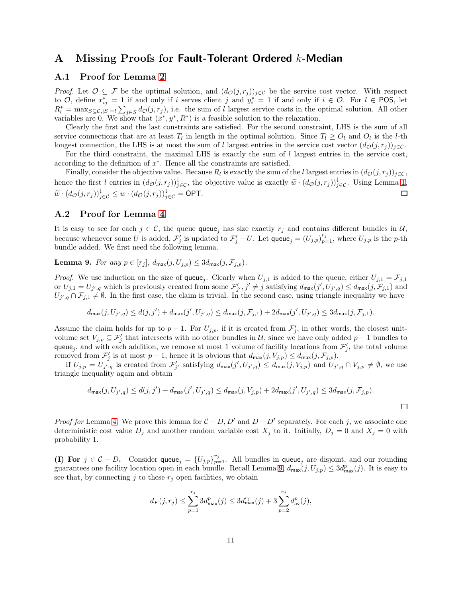## <span id="page-10-0"></span>A Missing Proofs for Fault-Tolerant Ordered k-Median

## A.1 Proof for Lemma [2](#page-2-2)

*Proof.* Let  $\mathcal{O} \subseteq \mathcal{F}$  be the optimal solution, and  $(d_{\mathcal{O}}(j, r_j))_{j \in \mathcal{C}}$  be the service cost vector. With respect to  $\mathcal{O}$ , define  $x_{ij}^* = 1$  if and only if i serves client j and  $y_i^* = 1$  if and only if  $i \in \mathcal{O}$ . For  $l \in \text{POS}$ , let  $R_l^* = \max_{S \subseteq \mathcal{C}, |S|=l} \sum_{j \in S} d_{\mathcal{O}}(j, r_j)$ , i.e. the sum of l largest service costs in the optimal solution. All other variables are 0. We show that  $(x^*, y^*, R^*)$  is a feasible solution to the relaxation.

Clearly the first and the last constraints are satisfied. For the second constraint, LHS is the sum of all service connections that are at least  $T_l$  in length in the optimal solution. Since  $T_l \geq O_l$  and  $O_l$  is the *l*-th longest connection, the LHS is at most the sum of l largest entries in the service cost vector  $(d_{\mathcal{O}}(j, r_j))_{j \in \mathcal{C}}$ .

For the third constraint, the maximal LHS is exactly the sum of  $l$  largest entries in the service cost, according to the definition of  $x^*$ . Hence all the constraints are satisfied.

Finally, consider the objective value. Because  $R_l$  is exactly the sum of the l largest entries in  $(d_{\mathcal{O}}(j, r_j))_{j \in \mathcal{C}}$ , hence the first l entries in  $(d_{\mathcal{O}}(j, r_j))_{j \in \mathcal{C}}^{\downarrow}$ , the objective value is exactly  $\widetilde{w} \cdot (d_{\mathcal{O}}(j, r_j))_{j \in \mathcal{C}}^{\downarrow}$ . Using Lemma [1,](#page-2-1)  $\widetilde{w} \cdot (d_{\mathcal{O}}(j,r_j))_{j \in \mathcal{C}}^{\downarrow} \leq w \cdot (d_{\mathcal{O}}(j,r_j))_{j \in \mathcal{C}}^{\downarrow} = \mathsf{OPT}.$  $\Box$ 

### <span id="page-10-1"></span>A.2 Proof for Lemma [4](#page-4-0)

It is easy to see for each  $j \in \mathcal{C}$ , the queue queue<sub>j</sub> has size exactly  $r_j$  and contains different bundles in  $\mathcal{U}$ , because whenever some U is added,  $\mathcal{F}'_j$  is updated to  $\mathcal{F}'_j-U$ . Let  $\mathsf{queue}_j = (U_{j,p})_{p=1}^{r_j}$ , where  $U_{j,p}$  is the p-th bundle added. We first need the following lemma.

<span id="page-10-2"></span>**Lemma 9.** For any  $p \in [r_j]$ ,  $d_{\text{max}}(j, U_{j,p}) \leq 3d_{\text{max}}(j, \mathcal{F}_{j,p}).$ 

*Proof.* We use induction on the size of queue<sub>j</sub>. Clearly when  $U_{j,1}$  is added to the queue, either  $U_{j,1} = \mathcal{F}_{j,1}$ or  $U_{j,1} = U_{j',q}$  which is previously created from some  $\mathcal{F}'_{j'}, j' \neq j$  satisfying  $d_{\text{max}}(j', U_{j',q}) \leq d_{\text{max}}(j, \mathcal{F}_{j,1})$  and  $U_{j',q} \cap \mathcal{F}_{j,1} \neq \emptyset$ . In the first case, the claim is trivial. In the second case, using triangle inequality we have

$$
d_{\max}(j,U_{j',q}) \leq d(j,j') + d_{\max}(j',U_{j',q}) \leq d_{\max}(j,\mathcal{F}_{j,1}) + 2d_{\max}(j',U_{j',q}) \leq 3d_{\max}(j,\mathcal{F}_{j,1}).
$$

Assume the claim holds for up to  $p-1$ . For  $U_{j,p}$ , if it is created from  $\mathcal{F}'_j$ , in other words, the closest unitvolume set  $V_{j,p} \subseteq \mathcal{F}'_j$  that intersects with no other bundles in U, since we have only added p – 1 bundles to queue<sub>j</sub>, and with each addition, we remove at most 1 volume of facility locations from  $\mathcal{F}'_j$ , the total volume removed from  $\mathcal{F}'_j$  is at most  $p-1$ , hence it is obvious that  $d_{\max}(j, V_{j,p}) \leq d_{\max}(j, \mathcal{F}_{j,p})$ .

If  $U_{j,p} = U_{j',q}$  is created from  $\mathcal{F}'_{j'}$  satisfying  $d_{\text{max}}(j', U_{j',q}) \leq d_{\text{max}}(j, V_{j,p})$  and  $U_{j',q} \cap V_{j,p} \neq \emptyset$ , we use triangle inequality again and obtain

$$
d_{\max}(j,U_{j',q}) \leq d(j,j') + d_{\max}(j',U_{j',q}) \leq d_{\max}(j,V_{j,p}) + 2d_{\max}(j',U_{j',q}) \leq 3d_{\max}(j,\mathcal{F}_{j,p}).
$$

 $\Box$ 

*Proof for* Lemma [4.](#page-4-0) We prove this lemma for  $C - D$ , D' and  $D - D'$  separately. For each j, we associate one deterministic cost value  $D_j$  and another random variable cost  $X_j$  to it. Initially,  $D_j = 0$  and  $X_j = 0$  with probability 1.

(I) For  $j \in \mathcal{C} - D$ . Consider queue<sub>j</sub> =  $\{U_{j,p}\}_{p=1}^{r_j}$ . All bundles in queue<sub>j</sub> are disjoint, and our rounding guarantees one facility location open in each bundle. Recall Lemma [9,](#page-10-2)  $d_{\text{max}}(j, U_{j,p}) \leq 3d_{\text{max}}^p(j)$ . It is easy to see that, by connecting j to these  $r_i$  open facilities, we obtain

$$
d_F(j,r_j) \le \sum_{p=1}^{r_j} 3d_{\max}^p(j) \le 3d_{\max}^{r_j}(j) + 3\sum_{p=2}^{r_j} d_{\text{av}}^p(j),
$$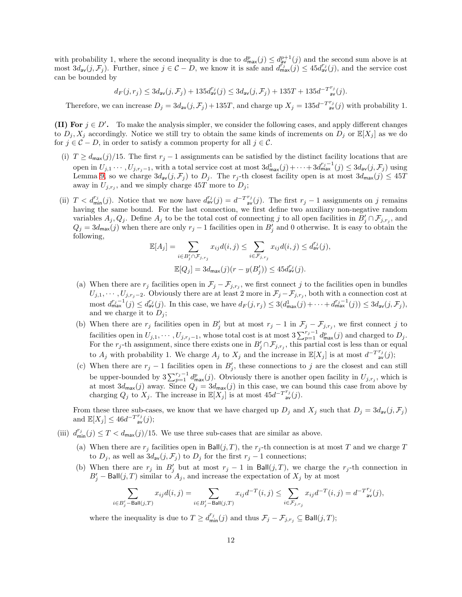with probability 1, where the second inequality is due to  $d_{\text{max}}^p(j) \leq d_{\text{av}}^{p+1}(j)$  and the second sum above is at most  $3d_{av}(j, \mathcal{F}_j)$ . Further, since  $j \in \mathcal{C} - D$ , we know it is safe and  $d_{max}^{r_j}(j) \leq 45d_{av}^{r_j}(j)$ , and the service cost can be bounded by

$$
d_F(j,r_j) \leq 3d_{\mathrm{av}}(j,\mathcal{F}_j) + 135d_{\mathrm{av}}^{r_j}(j) \leq 3d_{\mathrm{av}}(j,\mathcal{F}_j) + 135T + 135d^{-T r_j}_{\qquad \text{av}}(j).
$$

Therefore, we can increase  $D_j = 3d_{av}(j, \mathcal{F}_j) + 135T$ , and charge up  $X_j = 135d^{-T^{r_j}}_{av}(j)$  with probability 1.

**(II) For**  $j \in D'$ . To make the analysis simpler, we consider the following cases, and apply different changes to  $D_i, X_j$  accordingly. Notice we still try to obtain the same kinds of increments on  $D_i$  or  $\mathbb{E}[X_i]$  as we do for  $j \in \mathcal{C} - D$ , in order to satisfy a common property for all  $j \in \mathcal{C}$ .

- (i)  $T \ge d_{\text{max}}(j)/15$ . The first  $r_j 1$  assignments can be satisfied by the distinct facility locations that are open in  $U_{j,1}\cdots, U_{j,r_j-1}$ , with a total service cost at most  $3d_{\max}^1(j)+\cdots+3d_{\max}^{r_j-1}(j)\leq 3d_{\text{av}}(j,\mathcal{F}_j)$  using Lemma [9,](#page-10-2) so we charge  $3d_{av}(j, \mathcal{F}_j)$  to  $D_j$ . The  $r_j$ -th closest facility open is at most  $3d_{max}(j) \leq 45T$ away in  $U_{j,r_j}$ , and we simply charge 45T more to  $D_j$ ;
- (ii)  $T < d_{\min}^{r_j}(j)$ . Notice that we now have  $d_{av}^{r_j}(j) = d^{-T^{r_j}}(j)$ . The first  $r_j 1$  assignments on j remains having the same bound. For the last connection, we first define two auxiliary non-negative random variables  $A_j, Q_j$ . Define  $A_j$  to be the total cost of connecting j to all open facilities in  $B'_j \cap \mathcal{F}_{j,r_j}$ , and  $Q_j = 3d_{\text{max}}(j)$  when there are only  $r_j - 1$  facilities open in  $B'_j$  and 0 otherwise. It is easy to obtain the following,

$$
\mathbb{E}[A_j] = \sum_{i \in B'_j \cap \mathcal{F}_{j,r_j}} x_{ij} d(i,j) \le \sum_{i \in \mathcal{F}_{j,r_j}} x_{ij} d(i,j) \le d_{\mathsf{av}}^{r_j}(j),
$$
  

$$
\mathbb{E}[Q_j] = 3d_{\mathsf{max}}(j)(r - y(B'_j)) \le 45d_{\mathsf{av}}^{r_j}(j).
$$

- (a) When there are  $r_j$  facilities open in  $\mathcal{F}_j \mathcal{F}_{j,r_j}$ , we first connect j to the facilities open in bundles  $U_{j,1},\cdots,U_{j,r_j-2}$ . Obviously there are at least 2 more in  $\mathcal{F}_j-\mathcal{F}_{j,r_j}$ , both with a connection cost at most  $d_{\max}^{r_j-1}(j) \leq d_{\text{av}}^{r_j}(j)$ . In this case, we have  $d_F(j,r_j) \leq 3(d_{\max}^1(j) + \cdots + d_{\max}^{r_j-1}(j)) \leq 3d_{\text{av}}(j,\mathcal{F}_j)$ , and we charge it to  $D_j$ ;
- (b) When there are  $r_j$  facilities open in  $B'_j$  but at most  $r_j 1$  in  $\mathcal{F}_j \mathcal{F}_{j,r_j}$ , we first connect j to facilities open in  $U_{j,1},\cdots,U_{j,r_j-1}$ , whose total cost is at most  $3\sum_{p=1}^{r_j-1}d_{\max}^p(j)$  and charged to  $D_j$ . For the r<sub>j</sub>-th assignment, since there exists one in  $B'_j \cap \mathcal{F}_{j,r_j}$ , this partial cost is less than or equal to  $A_j$  with probability 1. We charge  $A_j$  to  $X_j$  and the increase in  $\mathbb{E}[X_j]$  is at most  $d^{-T^{r_j}}_{\text{av}}(j)$ ;
- (c) When there are  $r_j 1$  facilities open in  $B'_j$ , these connections to j are the closest and can still be upper-bounded by  $3\sum_{p=1}^{r_j-1} d_{\max}^p(j)$ . Obviously there is another open facility in  $U_{j,r_j}$ , which is at most  $3d_{\text{max}}(j)$  away. Since  $Q_j = 3d_{\text{max}}(j)$  in this case, we can bound this case from above by charging  $Q_j$  to  $X_j$ . The increase in  $\mathbb{E}[X_j]$  is at most  $45d^{-T^{r_j}}_{\text{av}}(j)$ .

From these three sub-cases, we know that we have charged up  $D_j$  and  $X_j$  such that  $D_j = 3d_{av}(j, \mathcal{F}_j)$ and  $\mathbb{E}[X_j] \leq 46d^{-T^{r_j}}_{\text{av}}(j);$ 

- (iii)  $d_{\min}^{r_j}(j) \leq T < d_{\max}(j)/15$ . We use three sub-cases that are similar as above.
	- (a) When there are  $r_j$  facilities open in Ball(j, T), the  $r_j$ -th connection is at most T and we charge T to  $D_j$ , as well as  $3d_{av}(j, \mathcal{F}_j)$  to  $D_j$  for the first  $r_j - 1$  connections;
	- (b) When there are  $r_j$  in  $B'_j$  but at most  $r_j 1$  in Ball $(j, T)$ , we charge the  $r_j$ -th connection in  $B'_{j}$  – Ball $(j, T)$  similar to  $A_{j}$ , and increase the expectation of  $X_{j}$  by at most

$$
\sum_{i\in B'_j-\mathrm{Ball}(j,T)} x_{ij}d(i,j)=\sum_{i\in B'_j-\mathrm{Ball}(j,T)} x_{ij}d^{-T}(i,j)\leq \sum_{i\in \mathcal{F}_{j,r_j}} x_{ij}d^{-T}(i,j)=d^{-T^{r_j}}_{\quad \text{av}}(j),
$$

where the inequality is due to  $T \geq d_{\min}^{r_j}(j)$  and thus  $\mathcal{F}_j - \mathcal{F}_{j,r_j} \subseteq \text{Ball}(j,T)$ ;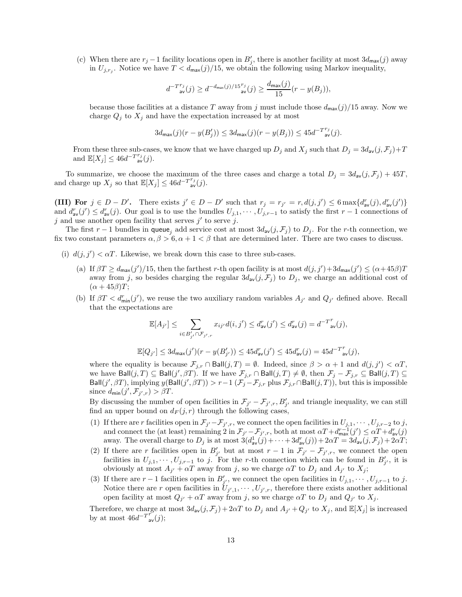(c) When there are  $r_j - 1$  facility locations open in  $B'_j$ , there is another facility at most  $3d_{\text{max}}(j)$  away in  $U_{j,r_j}$ . Notice we have  $T < d_{\text{max}}(j)/15$ , we obtain the following using Markov inequality,

$$
d^{-T^{r_j}}_{\text{av}}(j) \geq d^{-d_{\max}(j)/15^{r_j}}_{\text{av}}(j) \geq \frac{d_{\max}(j)}{15}(r - y(B_j)),
$$

because those facilities at a distance T away from j must include those  $d_{\text{max}}(j)/15$  away. Now we charge  $Q_j$  to  $X_j$  and have the expectation increased by at most

$$
3d_{\max}(j)(r-y(B_j'))\leq 3d_{\max}(j)(r-y(B_j))\leq 45d^{-T^{T_j}_\mathrm{av}}(j).
$$

From these three sub-cases, we know that we have charged up  $D_j$  and  $X_j$  such that  $D_j = 3d_{av}(j, \mathcal{F}_j) + T$ and  $\mathbb{E}[X_j] \leq 46d^{-T^{r_j}}_{\text{av}}(j).$ 

To summarize, we choose the maximum of the three cases and charge a total  $D_j = 3d_{av}(j, \mathcal{F}_j) + 45T$ , and charge up  $X_j$  so that  $\mathbb{E}[X_j] \leq 46d^{-T^{r_j}}_{av}(j)$ .

(III) For  $j \in D - D'$ . There exists  $j' \in D - D'$  such that  $r_j = r_{j'} = r$ ,  $d(j, j') \leq 6 \max\{d_{av}^r(j), d_{av}^r(j')\}$ and  $d_{av}^r(j') \leq d_{av}^r(j)$ . Our goal is to use the bundles  $U_{j,1}, \cdots, U_{j,r-1}$  to satisfy the first  $r-1$  connections of  $j$  and use another open facility that serves  $j'$  to serve  $j$ .

The first r – 1 bundles in queue<sub>j</sub> add service cost at most  $3d_{av}(j, \mathcal{F}_j)$  to  $D_j$ . For the r-th connection, we fix two constant parameters  $\alpha, \beta > 6, \alpha + 1 < \beta$  that are determined later. There are two cases to discuss.

- (i)  $d(j, j') < \alpha T$ . Likewise, we break down this case to three sub-cases.
	- (a) If  $\beta T \geq d_{\text{max}}(j')/15$ , then the farthest r-th open facility is at most  $d(j, j') + 3d_{\text{max}}(j') \leq (\alpha + 45\beta)T$ away from j, so besides charging the regular  $3d_{av}(j, \mathcal{F}_j)$  to  $D_j$ , we charge an additional cost of  $(\alpha + 45\beta)T;$
	- (b) If  $\beta T < d_{\min}^r(j')$ , we reuse the two auxiliary random variables  $A_{j'}$  and  $Q_{j'}$  defined above. Recall that the expectations are

$$
\mathbb{E}[A_{j'}] \leq \sum_{i \in B'_{j'} \cap \mathcal{F}_{j',r}} x_{ij'} d(i,j') \leq d_{\text{av}}^r(j') \leq d_{\text{av}}^r(j) = d^{-T^r}_{\text{av}}(j),
$$

$$
\mathbb{E}[Q_{j'}] \leq 3d_{\max}(j')(r - y(B'_{j'})) \leq 45d_{\text{av}}^r(j') \leq 45d_{\text{av}}^r(j) = 45d^{-T^r}_{\text{av}}(j),
$$

where the equality is because  $\mathcal{F}_{j,r} \cap \text{Ball}(j,T) = \emptyset$ . Indeed, since  $\beta > \alpha + 1$  and  $d(j, j') < \alpha T$ , we have  $\textsf{Ball}(j, T) \subseteq \textsf{Ball}(j', \beta T)$ . If we have  $\mathcal{F}_{j,r} \cap \textsf{Ball}(j, T) \neq \emptyset$ , then  $\mathcal{F}_{j} - \mathcal{F}_{j,r} \subseteq \textsf{Ball}(j, T) \subseteq \emptyset$ Ball $(j', \beta T)$ , implying  $y(\textsf{Ball}(j', \beta T)) > r-1$   $(\mathcal{F}_j - \mathcal{F}_{j,r}$  plus  $\mathcal{F}_{j,r} \cap \textsf{Ball}(j, T))$ , but this is impossible since  $d_{\min}(j', \mathcal{F}_{j',r}) > \beta T$ .

By discussing the number of open facilities in  $\mathcal{F}_{j'} - \mathcal{F}_{j',r}, B'_{j'}$  and triangle inequality, we can still find an upper bound on  $d_F(j, r)$  through the following cases,

- (1) If there are r facilities open in  $\mathcal{F}_{j'}-\mathcal{F}_{j',r}$ , we connect the open facilities in  $U_{j,1},\cdots,U_{j,r-2}$  to j, and connect the (at least) remaining  $2 \text{ in } \mathcal{F}_{j'} - \mathcal{F}_{j',r}$ , both at most  $\alpha T + d_{\max}^{r-1}(j') \leq \alpha T + d_{\text{av}}^{r}(j)$ away. The overall charge to  $D_j$  is at most  $3(d_{av}^1(j) + \cdots + 3d_{av}^r(j)) + 2\alpha T = 3d_{av}(j, \mathcal{F}_j) + 2\alpha T$ ;
- (2) If there are r facilities open in  $B'_{j'}$  but at most  $r-1$  in  $\mathcal{F}_{j'}-\mathcal{F}_{j',r}$ , we connect the open facilities in  $U_{j,1},\cdots,U_{j,r-1}$  to j. For the r-th connection which can be found in  $B'_{j'}$ , it is obviously at most  $A_{j'} + \alpha T$  away from j, so we charge  $\alpha T$  to  $D_j$  and  $A_{j'}$  to  $X_j$ ;
- (3) If there are  $r-1$  facilities open in  $B'_{j'}$ , we connect the open facilities in  $U_{j,1}, \cdots, U_{j,r-1}$  to j. Notice there are r open facilities in  $U_{j',1}, \dots, U_{j',r}$ , therefore there exists another additional open facility at most  $Q_{j'} + \alpha T$  away from j, so we charge  $\alpha T$  to  $D_j$  and  $Q_{j'}$  to  $X_j$ .

Therefore, we charge at most  $3d_{av}(j, \mathcal{F}_j) + 2\alpha T$  to  $D_j$  and  $A_{j'} + Q_{j'}$  to  $X_j$ , and  $\mathbb{E}[X_j]$  is increased by at most  $46d^{-T} \tilde{r}_{av}(j);$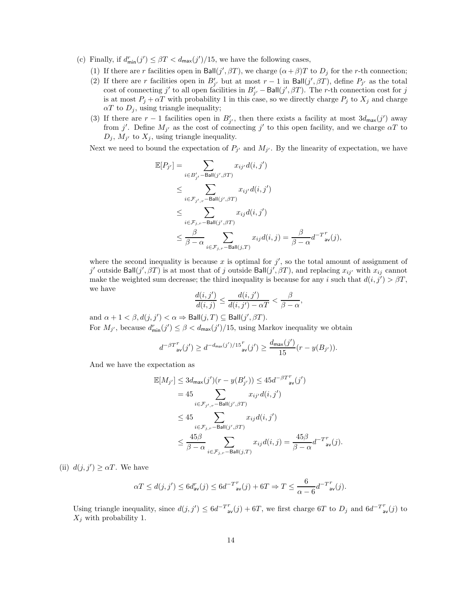- (c) Finally, if  $d_{\min}^r(j') \leq \beta T < d_{\max}(j')/15$ , we have the following cases,
	- (1) If there are r facilities open in Ball( $j', \beta T$ ), we charge  $(\alpha + \beta)T$  to  $D_j$  for the r-th connection;
	- (2) If there are r facilities open in  $B'_{j'}$  but at most  $r-1$  in Ball $(j', \beta T)$ , define  $P_{j'}$  as the total cost of connecting j' to all open facilities in  $B'_{j'}$  – Ball(j',  $\beta T$ ). The r-th connection cost for j is at most  $P_j + \alpha T$  with probability 1 in this case, so we directly charge  $P_j$  to  $X_j$  and charge  $\alpha T$  to  $D_j$ , using triangle inequality;
	- (3) If there are  $r-1$  facilities open in  $B'_{j'}$ , then there exists a facility at most  $3d_{\text{max}}(j')$  away from j'. Define  $M_{j'}$  as the cost of connecting j' to this open facility, and we charge  $\alpha T$  to  $D_j$ ,  $M_{j'}$  to  $X_j$ , using triangle inequality.

Next we need to bound the expectation of  $P_{j'}$  and  $M_{j'}$ . By the linearity of expectation, we have

$$
\mathbb{E}[P_{j'}] = \sum_{i \in B'_{j'}} \sum_{\text{Ball}(j',\beta T)} x_{ij'} d(i,j')
$$
\n
$$
\leq \sum_{i \in \mathcal{F}_{j',r} - \text{Ball}(j',\beta T)} x_{ij'} d(i,j')
$$
\n
$$
\leq \sum_{i \in \mathcal{F}_{j,r} - \text{Ball}(j',\beta T)} x_{ij} d(i,j')
$$
\n
$$
\leq \frac{\beta}{\beta - \alpha} \sum_{i \in \mathcal{F}_{j,r} - \text{Ball}(j,T)} x_{ij} d(i,j) = \frac{\beta}{\beta - \alpha} d^{-T^{r}}_{\text{av}}(j),
$$

where the second inequality is because  $x$  is optimal for  $j'$ , so the total amount of assignment of j' outside Ball $(j', \beta T)$  is at most that of j outside Ball $(j', \beta T)$ , and replacing  $x_{ij'}$  with  $x_{ij}$  cannot make the weighted sum decrease; the third inequality is because for any i such that  $d(i, j') > \beta T$ , we have

$$
\frac{d(i,j')}{d(i,j)} \le \frac{d(i,j')}{d(i,j') - \alpha T} < \frac{\beta}{\beta - \alpha},
$$

and  $\alpha + 1 < \beta$ ,  $d(j, j') < \alpha \Rightarrow$  Ball $(j, T) \subseteq$  Ball $(j', \beta T)$ . For  $M_{j'}$ , because  $d_{\min}^r(j') \leq \beta < d_{\max}(j')/15$ , using Markov inequality we obtain

$$
d^{-\beta T^{r}}_{\text{av}}(j') \geq d^{-d_{\max}(j')/15^{r}}_{\text{av}}(j') \geq \frac{d_{\max}(j')}{15}(r - y(B_{j'})).
$$

And we have the expectation as

$$
\mathbb{E}[M_{j'}] \leq 3d_{\max}(j')(r - y(B'_{j'})) \leq 45d^{-\beta T^{r}}_{\text{av}}(j')
$$
\n
$$
= 45 \sum_{i \in \mathcal{F}_{j',r} - \text{Ball}(j',\beta T)} x_{ij'}d(i,j')
$$
\n
$$
\leq 45 \sum_{i \in \mathcal{F}_{j,r} - \text{Ball}(j',\beta T)} x_{ij}d(i,j')
$$
\n
$$
\leq \frac{45\beta}{\beta - \alpha} \sum_{i \in \mathcal{F}_{j,r} - \text{Ball}(j,T)} x_{ij}d(i,j) = \frac{45\beta}{\beta - \alpha} d^{-T^{r}}_{\text{av}}(j).
$$

(ii)  $d(j, j') \ge \alpha T$ . We have

$$
\alpha T \le d(j, j') \le 6d_{\mathsf{av}}^r(j) \le 6d^{-T} \mathsf{av}}^r(j) + 6T \Rightarrow T \le \frac{6}{\alpha - 6} d^{-T} \mathsf{av}}^r(j).
$$

Using triangle inequality, since  $d(j, j') \leq 6d^{-T} \mathbf{r}_{av}(j) + 6T$ , we first charge 6T to  $D_j$  and  $6d^{-T} \mathbf{r}_{av}(j)$  to  $X_j$  with probability 1.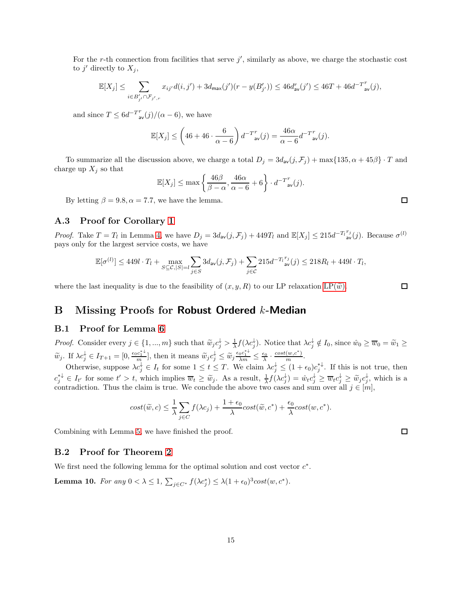For the r-th connection from facilities that serve  $j'$ , similarly as above, we charge the stochastic cost to  $j'$  directly to  $X_j$ ,

$$
\mathbb{E}[X_j] \leq \sum_{i \in B'_{j'} \cap \mathcal{F}_{j',r}} x_{ij'} d(i,j') + 3 d_{\max}(j') (r - y(B'_{j'})) \leq 46 d_{\text{av}}^r(j') \leq 46 T + 46 d^{-T^r}_{\text{ av}}(j),
$$

and since  $T \n\t\leq 6d^{-T^{r}}_{av}(j)/(\alpha - 6)$ , we have

$$
\mathbb{E}[X_j] \le \left(46 + 46 \cdot \frac{6}{\alpha - 6}\right) d^{-T^{r}}_{\text{av}}(j) = \frac{46\alpha}{\alpha - 6} d^{-T^{r}}_{\text{av}}(j).
$$

To summarize all the discussion above, we charge a total  $D_j = 3d_{av}(j, \mathcal{F}_j) + \max\{135, \alpha + 45\beta\} \cdot T$  and charge up  $X_j$  so that

$$
\mathbb{E}[X_j] \leq \max\left\{\frac{46\beta}{\beta-\alpha}, \frac{46\alpha}{\alpha-6} + 6\right\} \cdot d^{-T^{r}}_{\text{av}}(j).
$$

By letting  $\beta = 9.8, \alpha = 7.7$ , we have the lemma.

## <span id="page-14-0"></span>A.3 Proof for Corollary [1](#page-4-1)

*Proof.* Take  $T = T_l$  in Lemma [4,](#page-4-0) we have  $D_j = 3d_{av}(j, \mathcal{F}_j) + 449T_l$  and  $\mathbb{E}[X_j] \leq 215d^{-T_l}{}_{av}^{r_j}(j)$ . Because  $\sigma^{(l)}$ pays only for the largest service costs, we have

$$
\mathbb{E}[\sigma^{(l)}] \leq 449l \cdot T_l + \max_{S \subseteq \mathcal{C}, |S| = l} \sum_{j \in S} 3d_{\text{av}}(j, \mathcal{F}_j) + \sum_{j \in \mathcal{C}} 215d^{-T_l^{T_j}} \text{av}(j) \leq 218R_l + 449l \cdot T_l,
$$

where the last inequality is due to the feasibility of  $(x, y, R)$  to our LP relaxation [LP\(](#page-2-0) $\tilde{w}$ ).

# B Missing Proofs for Robust Ordered k-Median

#### <span id="page-14-1"></span>B.1 Proof for Lemma [6](#page-5-2)

Proof. Consider every  $j \in \{1, ..., m\}$  such that  $\widetilde{w}_j c_j^{\downarrow} > \frac{1}{\lambda} f(\lambda c_j^{\downarrow})$ . Notice that  $\lambda c_j^{\downarrow} \notin I_0$ , since  $\hat{w}_0 \ge \overline{w}_0 = \widetilde{w}_1 \ge$  $\widetilde{w}_j$ . If  $\lambda c_j^{\downarrow} \in I_{T+1} = [0, \frac{\epsilon_0 c_1^{* \downarrow}}{m}],$  then it means  $\widetilde{w}_j c_j^{\downarrow} \leq \widetilde{w}_j \frac{\epsilon_0 c_1^{* \downarrow}}{\lambda m} \leq \frac{\epsilon_0}{\lambda} \cdot \frac{\cosh(w, c^*)}{m}.$ 

Otherwise, suppose  $\lambda c_j^{\downarrow} \in I_t$  for some  $1 \leq t \leq T$ . We claim  $\lambda c_j^{\downarrow} \leq (1 + \epsilon_0) c_j^{*\downarrow}$ . If this is not true, then  $c_j^{*+} \in I_{t'}$  for some  $t' > t$ , which implies  $\overline{w}_t \geq \widetilde{w}_j$ . As a result,  $\frac{1}{\lambda} f(\lambda c_j^{\downarrow}) = \hat{w}_t c_j^{\downarrow} \geq \overline{w}_t c_j^{\downarrow} \geq \widetilde{w}_j c_j^{\downarrow}$ , which is a contradiction. Thus the claim is true. We conclude the above two cases and sum over all  $j \in [m]$ ,

$$
cost(\widetilde{w}, c) \leq \frac{1}{\lambda} \sum_{j \in C} f(\lambda c_j) + \frac{1 + \epsilon_0}{\lambda} cost(\widetilde{w}, c^*) + \frac{\epsilon_0}{\lambda} cost(w, c^*).
$$

Combining with Lemma [5,](#page-5-3) we have finished the proof.

## <span id="page-14-2"></span>B.2 Proof for Theorem [2](#page-5-0)

<span id="page-14-3"></span>We first need the following lemma for the optimal solution and cost vector  $c^*$ .

**Lemma 10.** For any  $0 < \lambda \leq 1$ ,  $\sum_{j \in C^*} f(\lambda c_j^*) \leq \lambda (1 + \epsilon_0)^3 \text{cost}(w, c^*)$ .

 $\Box$ 

□

 $\Box$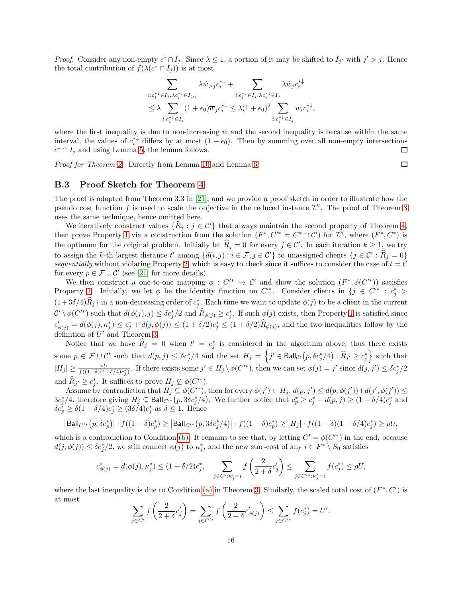*Proof.* Consider any non-empty  $c^* \cap I_j$ . Since  $\lambda \leq 1$ , a portion of it may be shifted to  $I_{j'}$  with  $j' > j$ . Hence the total contribution of  $f(\lambda(c^* \cap I_j))$  is at most

$$
\sum_{i:c_i^* \in I_j, \lambda c_i^* \in I_{>j}} \lambda \hat{w}_{>j} c_i^{*\downarrow} + \sum_{i:c_i^* \in I_j, \lambda c_i^* \in I_j} \lambda \hat{w}_j c_i^{*\downarrow}
$$
\n
$$
\leq \lambda \sum_{i:c_i^* \in I_j} (1 + \epsilon_0) \overline{w}_j c_i^{*\downarrow} \leq \lambda (1 + \epsilon_0)^2 \sum_{i:c_i^* \in I_j} w_i c_i^{*\downarrow}
$$

,

where the first inequality is due to non-increasing  $\hat{w}$  and the second inequality is because within the same interval, the values of  $c_i^*$  differs by at most  $(1 + \epsilon_0)$ . Then by summing over all non-empty intersections  $c^* \cap I_j$  and using Lemma [5,](#page-5-3) the lemma follows. ◻

<span id="page-15-0"></span>Proof for Theorem [2.](#page-5-0) Directly from Lemma [10](#page-14-3) and Lemma [6.](#page-5-2)

#### B.3 Proof Sketch for Theorem [4](#page-6-0)

The proof is adapted from Theorem 3.3 in [\[21\]](#page-9-0), and we provide a proof sketch in order to illustrate how the pseudo cost function f is used to scale the objective in the reduced instance  $\mathcal{I}''$ . The proof of Theorem [3](#page-6-1) uses the same technique, hence omitted here.

We iteratively construct values  $\{\widehat R_j : j \in \mathcal{C}'\}$  that always maintain the second property of Theorem [4,](#page-6-0) then prove Property [1](#page-6-4) via a construction from the solution  $(F^*, C'^* = C^* \cap C')$  for  $\mathcal{I}'$ , where  $(F^*, C^*)$  is the optimum for the original problem. Initially let  $\hat{R}_j = 0$  for every  $j \in \mathcal{C}'$ . In each iteration  $k \geq 1$ , we try to assign the k-th largest distance t' among  $\{d(i,j): i \in \mathcal{F}, j \in \mathcal{C}'\}$  to unassigned clients  $\{j \in \mathcal{C}' : \widehat{R}_j = 0\}$ sequentially without violating Property [2,](#page-6-2) which is easy to check since it suffices to consider the case of  $t = t'$ for every  $p \in \mathcal{F} \cup \mathcal{C}'$  (see [\[21\]](#page-9-0) for more details).

We then construct a one-to-one mapping  $\phi: C'^* \to C'$  and show the solution  $(F^*, \phi(C'^*))$  satisfies Property [1.](#page-6-4) Initially, we let  $\phi$  be the identity function on  $C^{\prime*}$ . Consider clients in  $\{j \in C^{\prime*} : c_j^* >$  $(1+3\delta/4)\hat{R}_j$  in a non-decreasing order of  $c_j^*$ . Each time we want to update  $\phi(j)$  to be a client in the current  $\mathcal{C}'\setminus\phi(C'^*)$  such that  $d(\phi(j),j)\leq \delta c_j^*/2$  and  $\widehat{R}_{\phi(j)}\geq c_j^*$ . If such  $\phi(j)$  exists, then Property [1](#page-6-4) is satisfied since  $c'_{\phi(j)} = d(\phi(j), \kappa_j^*) \leq c_j^* + d(j, \phi(j)) \leq (1 + \delta/2)c_j^* \leq (1 + \delta/2)\hat{R}_{\phi(j)},$  and the two inequalities follow by the definition of  $U'$  and Theorem [3.](#page-6-1)

Notice that we have  $\hat{R}_j = 0$  when  $t' = c_j^*$  is considered in the algorithm above, thus there exists some  $p \in \mathcal{F} \cup \mathcal{C}'$  such that  $d(p, j) \leq \delta c_j^*/4$  and the set  $H_j = \left\{ j' \in \text{Ball}_{\mathcal{C}'}(p, \delta c_j^*/4) : \widehat{R}_{j'} \geq c_j^* \right\}$  such that  $|H_j| \ge \frac{\rho U}{f((1-\delta)(1-\delta/4)c_j^*)}$ . If there exists some  $j' \in H_j \setminus \phi(C'^*)$ , then we can set  $\phi(j) = j'$  since  $d(j, j') \le \delta c_j^*/2$ and  $\widehat{R}_{j'} \geq c_j^*$ . It suffices to prove  $H_j \nsubseteq \phi(C'^*)$ .

Assume by contradiction that  $H_j \subseteq \phi(C'^*)$ , then for every  $\phi(j') \in H_j$ ,  $d(p, j') \leq d(p, \phi(j')) + d(j', \phi(j')) \leq$  $3c_j^*/4$ , therefore giving  $H_j \subseteq \text{Ball}_{C'^*}(p, 3\delta c_j^*/4)$ . We further notice that  $c_p^* \ge c_j^* - d(p, j) \ge (1 - \delta/4)c_j^*$  and  $\delta c_p^* \geq \delta (1 - \delta/4) c_j^* \geq (3\delta/4) c_j^*$  as  $\delta \leq 1$ . Hence

$$
\left|\text{Ball}_{C'^*}\big(p,\delta c_p^*\big)\right|\cdot f((1-\delta)c_p^*)\geq \left|\text{Ball}_{C'^*}\big(p,3\delta c_j^*/4\big)\right|\cdot f((1-\delta)c_p^*)\geq |H_j|\cdot f((1-\delta)(1-\delta/4)c_j^*)\geq \rho U,
$$

which is a contradiction to Condition [\(b\).](#page-6-5) It remains to see that, by letting  $C' = \phi(C'^*)$  in the end, because  $d(j, \phi(j)) \leq \delta c_j^*/2$ , we still connect  $\phi(j)$  to  $\kappa_j^*$ , and the new star-cost of any  $i \in F^* \setminus S_0$  satisfies

$$
c_{\phi(j)}^*=d(\phi(j),\kappa_j^*)\leq (1+\delta/2)c_j^*,\quad \sum_{j\in C': \kappa_j'=i} f\left(\frac{2}{2+\delta}c_j'\right)\leq \sum_{j\in C'^*, \kappa_j^*=i} f(c_j^*)\leq \rho U,
$$

where the last inequality is due to Condition [\(a\)](#page-6-6) in Theorem [3.](#page-6-1) Similarly, the scaled total cost of  $(F^*, C')$  is at most

$$
\sum_{j \in C'} f\left(\frac{2}{2+\delta} c'_j\right) = \sum_{j \in C'^*} f\left(\frac{2}{2+\delta} c'_{\phi(j)}\right) \le \sum_{j \in C'^*} f(c_j^*) = U'.
$$

 $\Box$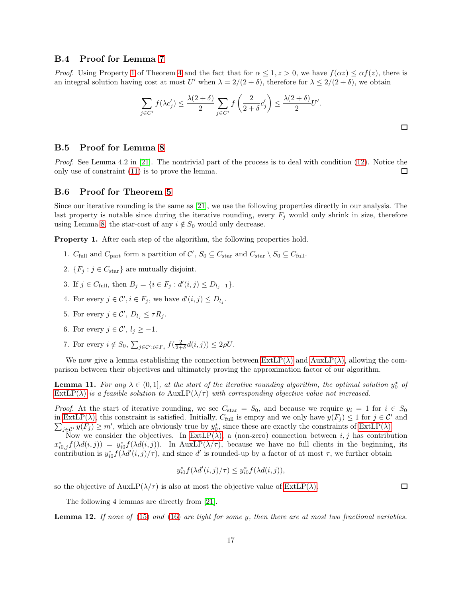## <span id="page-16-0"></span>B.4 Proof for Lemma [7](#page-7-7)

*Proof.* Using Property [1](#page-6-4) of Theorem [4](#page-6-0) and the fact that for  $\alpha \leq 1, z > 0$ , we have  $f(\alpha z) \leq \alpha f(z)$ , there is an integral solution having cost at most U' when  $\lambda = 2/(2 + \delta)$ , therefore for  $\lambda \leq 2/(2 + \delta)$ , we obtain

$$
\sum_{j \in C'} f(\lambda c'_j) \le \frac{\lambda(2+\delta)}{2} \sum_{j \in C'} f\left(\frac{2}{2+\delta}c'_j\right) \le \frac{\lambda(2+\delta)}{2}U'.
$$

#### <span id="page-16-1"></span>B.5 Proof for Lemma [8](#page-7-5)

Proof. See Lemma 4.2 in [\[21\]](#page-9-0). The nontrivial part of the process is to deal with condition [\(12\)](#page-7-8). Notice the only use of constraint [\(11\)](#page-7-4) is to prove the lemma.  $\Box$ 

### <span id="page-16-2"></span>B.6 Proof for Theorem [5](#page-7-9)

Since our iterative rounding is the same as [\[21\]](#page-9-0), we use the following properties directly in our analysis. The last property is notable since during the iterative rounding, every  $F_j$  would only shrink in size, therefore using Lemma [8,](#page-7-5) the star-cost of any  $i \notin S_0$  would only decrease.

<span id="page-16-4"></span>Property 1. After each step of the algorithm, the following properties hold.

- 1.  $C_{\text{full}}$  and  $C_{\text{part}}$  form a partition of  $\mathcal{C}'$ ,  $S_0 \subseteq C_{\text{star}}$  and  $C_{\text{star}} \setminus S_0 \subseteq C_{\text{full}}$ .
- 2.  $\{F_j : j \in C_{\text{star}}\}$  are mutually disjoint.
- 3. If  $j \in C_{\text{full}}$ , then  $B_j = \{i \in F_j : d'(i,j) \le D_{l_j-1}\}.$
- 4. For every  $j \in \mathcal{C}'$ ,  $i \in F_j$ , we have  $d'(i, j) \le D_{l_j}$ .
- 5. For every  $j \in \mathcal{C}'$ ,  $D_{l_j} \leq \tau R_j$ .
- 6. For every  $j \in \mathcal{C}'$ ,  $l_j \ge -1$ .
- 7. For every  $i \notin S_0$ ,  $\sum_{j \in \mathcal{C}': i \in F_j} f(\frac{2}{2+\delta}d(i,j)) \leq 2\rho U$ .

<span id="page-16-3"></span>We now give a lemma establishing the connection between  $ExtLP(\lambda)$  and  $AutIP(\lambda)$ , allowing the comparison between their objectives and ultimately proving the approximation factor of our algorithm.

**Lemma 11.** For any  $\lambda \in (0,1]$ , at the start of the iterative rounding algorithm, the optimal solution  $y_0^*$  of  $\text{ExtLP}(\lambda)$  is a feasible solution to  $\text{AuxLP}(\lambda/\tau)$  with corresponding objective value not increased.

*Proof.* At the start of iterative rounding, we see  $C_{\text{star}} = S_0$ , and because we require  $y_i = 1$  for  $i \in S_0$ in [ExtLP\(](#page-7-0) $\lambda$ ), this constraint is satisfied. Initially,  $C_{\text{full}}$  is empty and we only have  $y(F_j) \leq 1$  for  $j \in \mathcal{C}'$  and  $\sum_{j\in\mathcal{C}'} y(F_j) \geq m'$ , which are obviously true by  $y_0^*$ , since these are exactly the constraints of [ExtLP\(](#page-7-0) $\lambda$ ).

Now we consider the objectives. In  $ExtLP(\lambda)$ , a (non-zero) connection between i, j has contribution  $x_{i0,j}^* f(\lambda d(i,j)) = y_{i0}^* f(\lambda d(i,j))$ . In AuxLP( $\lambda/\tau$ ), because we have no full clients in the beginning, its contribution is  $y_{i0}^* f(\lambda d'(i,j)/\tau)$ , and since d' is rounded-up by a factor of at most  $\tau$ , we further obtain

$$
y_{i0}^* f(\lambda d'(i,j)/\tau) \le y_{i0}^* f(\lambda d(i,j)),
$$

so the objective of  $\text{AuxLP}(\lambda/\tau)$  is also at most the objective value of  $\text{ExtLP}(\lambda)$ .

 $\Box$ 

□

<span id="page-16-6"></span>The following 4 lemmas are directly from [\[21\]](#page-9-0).

<span id="page-16-5"></span>Lemma 12. If none of [\(15\)](#page-7-10) and [\(16\)](#page-7-11) are tight for some y, then there are at most two fractional variables.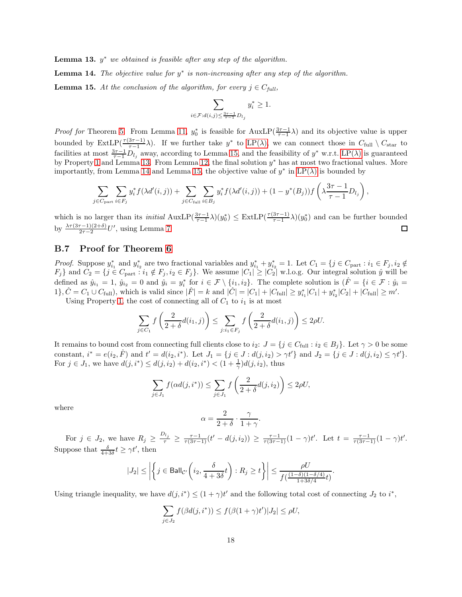<span id="page-17-2"></span>**Lemma 13.**  $y^*$  we obtained is feasible after any step of the algorithm.

<span id="page-17-1"></span>**Lemma 14.** The objective value for  $y^*$  is non-increasing after any step of the algorithm.

**Lemma 15.** At the conclusion of the algorithm, for every  $j \in C_{full}$ ,

$$
\sum_{i \in \mathcal{F}: d(i,j) \le \frac{3\tau - 1}{\tau - 1} D_{l_j}} y_i^* \ge 1.
$$

*Proof for* Theorem [5.](#page-7-9) From Lemma [11,](#page-16-3)  $y_0^*$  is feasible for AuxLP( $\frac{3\tau-1}{\tau-1}\lambda$ ) and its objective value is upper bounded by  $\text{ExtLP}(\frac{\tau(3\tau-1)}{\tau-1}\lambda)$ . If we further take  $y^*$  to  $\text{LP}(\lambda)$ , we can connect those in  $C_{\text{full}} \setminus C_{\text{star}}$  to facilities at most  $\frac{3\tau-1}{\tau-1}D_{l_j}$  away, according to Lemma [15,](#page-17-1) and the feasibility of  $y^*$  w.r.t. [LP\(](#page-5-1) $\lambda$ ) is guaranteed by Property [1](#page-16-4) and Lemma [13.](#page-16-5) From Lemma [12,](#page-16-6) the final solution  $y^*$  has at most two fractional values. More importantly, from Lemma [14](#page-17-2) and Lemma [15,](#page-17-1) the objective value of  $y^*$  in  $LP(\lambda)$  is bounded by

$$
\sum_{j\in C_{\mathrm{part}}} \sum_{i\in F_j} y_i^* f(\lambda d'(i,j)) + \sum_{j\in C_{\mathrm{full}}} \sum_{i\in B_j} y_i^* f(\lambda d'(i,j)) + (1-y^*(B_j)) f\left(\lambda \frac{3\tau-1}{\tau-1} D_{l_j}\right),
$$

which is no larger than its *initial*  $\text{AuxLP}(\frac{3\tau-1}{\tau-1}\lambda)(y_0^*) \leq \text{ExtLP}(\frac{\tau(3\tau-1)}{\tau-1}\lambda)(y_0^*)$  and can be further bounded by  $\frac{\lambda \tau (3\tau -1)(2+\delta)}{2\tau -2}U'$ , using Lemma [7.](#page-7-7)  $\Box$ 

## <span id="page-17-0"></span>B.7 Proof for Theorem [6](#page-8-8)

*Proof.* Suppose  $y_{i_1}^*$  and  $y_{i_2}^*$  are two fractional variables and  $y_{i_1}^* + y_{i_2}^* = 1$ . Let  $C_1 = \{j \in C_{part} : i_1 \in F_j, i_2 \notin F_j\}$  $\{F_j\}$  and  $C_2 = \{j \in C_{\text{part}} : i_1 \notin F_j, i_2 \in F_j\}$ . We assume  $|C_1| \geq |C_2|$  w.l.o.g. Our integral solution  $\hat{y}$  will be defined as  $\hat{y}_{i_1} = 1$ ,  $\hat{y}_{i_2} = 0$  and  $\hat{y}_i = y_i^*$  for  $i \in \mathcal{F} \setminus \{i_1, i_2\}$ . The complete solution is  $(\hat{F} = \{i \in \mathcal{F} : \hat{y}_i = \emptyset\})$ 1},  $\hat{C} = C_1 \cup C_{\text{full}}$ , which is valid since  $|\hat{F}| = k$  and  $|\hat{C}| = |C_1| + |C_{\text{full}}| \geq y_{i_1}^* |C_1| + y_{i_2}^* |C_2| + |C_{\text{full}}| \geq m'$ .

Using Property [1,](#page-16-4) the cost of connecting all of  $C_1$  to  $i_1$  is at most

$$
\sum_{j \in C_1} f\left(\frac{2}{2+\delta} d(i_1,j)\right) \le \sum_{j:i_1 \in F_j} f\left(\frac{2}{2+\delta} d(i_1,j)\right) \le 2\rho U.
$$

It remains to bound cost from connecting full clients close to  $i_2$ :  $J = \{j \in C_{\text{full}} : i_2 \in B_j\}$ . Let  $\gamma > 0$  be some constant,  $i^* = e(i_2, \hat{F})$  and  $t' = d(i_2, i^*)$ . Let  $J_1 = \{j \in J : d(j, i_2) > \gamma t'\}$  and  $J_2 = \{j \in J : d(j, i_2) \leq \gamma t'\}$ . For  $j \in J_1$ , we have  $d(j, i^*) \leq d(j, i_2) + d(i_2, i^*) < (1 + \frac{1}{\gamma})d(j, i_2)$ , thus

$$
\sum_{j\in J_1} f(\alpha d(j,i^*)) \le \sum_{j\in J_1} f\left(\frac{2}{2+\delta}d(j,i_2)\right) \le 2\rho U,
$$

where

$$
\alpha = \frac{2}{2+\delta} \cdot \frac{\gamma}{1+\gamma}.
$$

For  $j \in J_2$ , we have  $R_j \geq \frac{D_{l_j}}{\tau} \geq \frac{\tau-1}{\tau(3\tau-1)}(t'-d(j,i_2)) \geq \frac{\tau-1}{\tau(3\tau-1)}(1-\gamma)t'$ . Let  $t = \frac{\tau-1}{\tau(3\tau-1)}(1-\gamma)t'$ . Suppose that  $\frac{\delta}{4+3\delta}t \geq \gamma t'$ , then

$$
|J_2| \le \left| \left\{ j \in \text{Ball}_{\mathcal{C}'} \left( i_2, \frac{\delta}{4+3\delta} t \right) : R_j \ge t \right\} \right| \le \frac{\rho U}{f(\frac{(1-\delta)(1-\delta/4)}{1+3\delta/4}t)}.
$$

Using triangle inequality, we have  $d(j, i^*) \leq (1 + \gamma)t'$  and the following total cost of connecting  $J_2$  to  $i^*$ ,

$$
\sum_{j\in J_2} f(\beta d(j,i^*)) \le f(\beta(1+\gamma)t')|J_2| \le \rho U,
$$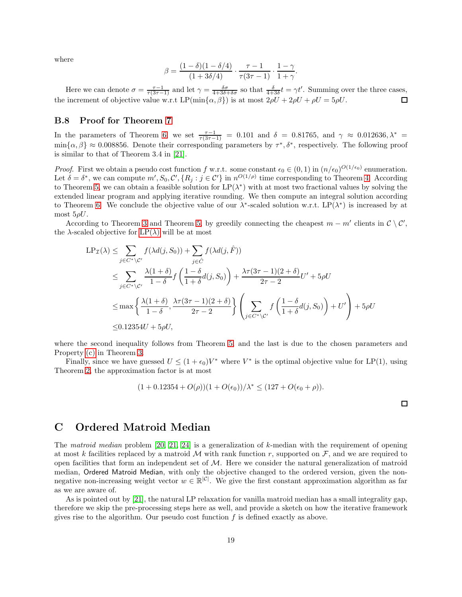where

$$
\beta = \frac{(1 - \delta)(1 - \delta/4)}{(1 + 3\delta/4)} \cdot \frac{\tau - 1}{\tau(3\tau - 1)} \cdot \frac{1 - \gamma}{1 + \gamma}.
$$

Here we can denote  $\sigma = \frac{\tau - 1}{\tau(3\tau - 1)}$  and let  $\gamma = \frac{\delta \sigma}{4 + 3\delta + \delta \sigma}$  so that  $\frac{\delta}{4 + 3\delta} t = \gamma t'$ . Summing over the three cases, the increment of objective value w.r.t  $LP(\min\{\alpha, \beta\})$  is at most  $2\rho U + 2\rho U + \rho U = 5\rho U$ .

## <span id="page-18-1"></span>B.8 Proof for Theorem [7](#page-8-9)

In the parameters of Theorem [6,](#page-8-8) we set  $\frac{\tau-1}{\tau(3\tau-1)}$  = 0.101 and  $\delta$  = 0.81765, and  $\gamma \approx 0.012636, \lambda^*$  =  $\min\{\alpha, \beta\} \approx 0.008856$ . Denote their corresponding parameters by  $\tau^*, \delta^*$ , respectively. The following proof is similar to that of Theorem 3.4 in [\[21\]](#page-9-0).

*Proof.* First we obtain a pseudo cost function f w.r.t. some constant  $\epsilon_0 \in (0,1)$  in  $(n/\epsilon_0)^{O(1/\epsilon_0)}$  enumeration. Let  $\delta = \delta^*$ , we can compute  $m'$ ,  $S_0$ ,  $\mathcal{C}'$ ,  $\{R_j : j \in \mathcal{C}'\}$  in  $n^{O(1/\rho)}$  time corresponding to Theorem [4.](#page-6-0) According to Theorem [5,](#page-7-9) we can obtain a feasible solution for  $LP(\lambda^*)$  with at most two fractional values by solving the extended linear program and applying iterative rounding. We then compute an integral solution according to Theorem [6.](#page-8-8) We conclude the objective value of our  $\lambda^*$ -scaled solution w.r.t. LP( $\lambda^*$ ) is increased by at most  $5\rho U$ .

According to Theorem [3](#page-6-1) and Theorem [5,](#page-7-9) by greedily connecting the cheapest  $m - m'$  clients in  $\mathcal{C} \setminus \mathcal{C}'$ , the  $\lambda$ -scaled objective for [LP\(](#page-5-1) $\lambda$ ) will be at most

$$
LP_{\mathcal{I}}(\lambda) \leq \sum_{j \in C^* \setminus C'} f(\lambda d(j, S_0)) + \sum_{j \in \hat{C}} f(\lambda d(j, \hat{F}))
$$
  
\n
$$
\leq \sum_{j \in C^* \setminus C'} \frac{\lambda (1 + \delta)}{1 - \delta} f\left(\frac{1 - \delta}{1 + \delta} d(j, S_0)\right) + \frac{\lambda \tau (3\tau - 1)(2 + \delta)}{2\tau - 2} U' + 5\rho U
$$
  
\n
$$
\leq \max \left\{ \frac{\lambda (1 + \delta)}{1 - \delta}, \frac{\lambda \tau (3\tau - 1)(2 + \delta)}{2\tau - 2} \right\} \left( \sum_{j \in C^* \setminus C'} f\left(\frac{1 - \delta}{1 + \delta} d(j, S_0)\right) + U' \right) + 5\rho U
$$
  
\n
$$
\leq 0.12354U + 5\rho U,
$$

where the second inequality follows from Theorem [5,](#page-7-9) and the last is due to the chosen parameters and Property [\(c\)](#page-6-3) in Theorem [3.](#page-6-1)

Finally, since we have guessed  $U \leq (1 + \epsilon_0)V^*$  where  $V^*$  is the optimal objective value for LP(1), using Theorem [2,](#page-5-0) the approximation factor is at most

$$
(1+0.12354+O(\rho))(1+O(\epsilon_0))/\lambda^* \leq (127+O(\epsilon_0+\rho)).
$$

# <span id="page-18-0"></span>C Ordered Matroid Median

The matroid median problem [\[20,](#page-9-14) [21,](#page-9-0) [24\]](#page-9-15) is a generalization of k-median with the requirement of opening at most k facilities replaced by a matroid M with rank function r, supported on  $\mathcal{F}$ , and we are required to open facilities that form an independent set of  $M$ . Here we consider the natural generalization of matroid median, Ordered Matroid Median, with only the objective changed to the ordered version, given the nonnegative non-increasing weight vector  $w \in \mathbb{R}^{|\mathcal{C}|}$ . We give the first constant approximation algorithm as far as we are aware of.

As is pointed out by [\[21\]](#page-9-0), the natural LP relaxation for vanilla matroid median has a small integrality gap, therefore we skip the pre-processing steps here as well, and provide a sketch on how the iterative framework gives rise to the algorithm. Our pseudo cost function  $f$  is defined exactly as above.

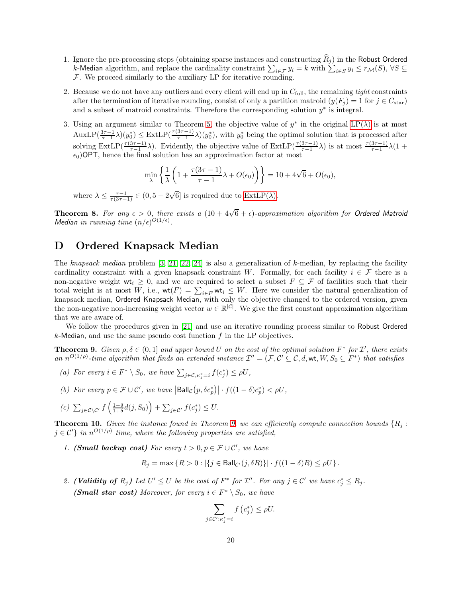- 1. Ignore the pre-processing steps (obtaining sparse instances and constructing  $\widehat{R}_j$ ) in the Robust Ordered k-Median algorithm, and replace the cardinality constraint  $\sum_{i \in \mathcal{F}} y_i = k$  with  $\sum_{i \in S} y_i \le r_{\mathcal{M}}(S)$ ,  $\forall S \subseteq$  $F$ . We proceed similarly to the auxiliary LP for iterative rounding.
- 2. Because we do not have any outliers and every client will end up in  $C_{\text{full}}$ , the remaining *tight* constraints after the termination of iterative rounding, consist of only a partition matroid  $(y(F_i) = 1$  for  $j \in C_{\text{star}})$ and a subset of matroid constraints. Therefore the corresponding solution  $y^*$  is integral.
- 3. Using an argument similar to Theorem [5,](#page-7-9) the objective value of  $y^*$  in the original [LP\(](#page-5-1) $\lambda$ ) is at most  $\text{AuxLP}(\frac{3\tau-1}{\tau-1}\lambda)(y_0^*) \leq \text{ExtLP}(\frac{\tau(3\tau-1)}{\tau-1}\lambda)(y_0^*)$ , with  $y_0^*$  being the optimal solution that is processed after solving ExtLP( $\frac{\tau(3\tau-1)}{\tau-1}\lambda$ ). Evidently, the objective value of ExtLP( $\frac{\tau(3\tau-1)}{\tau-1}\lambda$ ) is at most  $\frac{\tau(3\tau-1)}{\tau-1}\lambda(1+\tau)$  $\epsilon_0$ )OPT, hence the final solution has an approximation factor at most

$$
\min_{\lambda} \left\{ \frac{1}{\lambda} \left( 1 + \frac{\tau(3\tau - 1)}{\tau - 1} \lambda + O(\epsilon_0) \right) \right\} = 10 + 4\sqrt{6} + O(\epsilon_0),
$$

where  $\lambda \leq \frac{\tau-1}{\tau(3\tau-1)} \in (0, 5-2\sqrt{6}]$  is required due to [ExtLP\(](#page-7-0) $\lambda$ ).

**Theorem 8.** For any  $\epsilon > 0$ , there exists a  $(10 + 4\sqrt{6} + \epsilon)$ -approximation algorithm for Ordered Matroid Median in running time  $(n/\epsilon)^{O(1/\epsilon)}$ .

# <span id="page-19-0"></span>D Ordered Knapsack Median

The knapsack median problem  $[3, 21, 22, 24]$  $[3, 21, 22, 24]$  $[3, 21, 22, 24]$  $[3, 21, 22, 24]$  is also a generalization of k-median, by replacing the facility cardinality constraint with a given knapsack constraint W. Formally, for each facility  $i \in \mathcal{F}$  there is a non-negative weight wt<sub>i</sub>  $\geq 0$ , and we are required to select a subset  $F \subseteq \mathcal{F}$  of facilities such that their total weight is at most W, i.e.,  $\text{wt}(F) = \sum_{i \in F} \text{wt}_i \leq W$ . Here we consider the natural generalization of knapsack median, Ordered Knapsack Median, with only the objective changed to the ordered version, given the non-negative non-increasing weight vector  $w \in \mathbb{R}^{|\mathcal{C}|}$ . We give the first constant approximation algorithm that we are aware of.

<span id="page-19-1"></span>We follow the procedures given in [\[21\]](#page-9-0) and use an iterative rounding process similar to Robust Ordered  $k$ -Median, and use the same pseudo cost function  $f$  in the LP objectives.

**Theorem 9.** Given  $\rho, \delta \in (0,1]$  and upper bound U on the cost of the optimal solution  $F^*$  for  $\mathcal{I}'$ , there exists an  $n^{O(1/\rho)}$ -time algorithm that finds an extended instance  $\mathcal{I}'' = (\mathcal{F}, \mathcal{C}' \subseteq \mathcal{C}, d, \mathsf{wt}, W, S_0 \subseteq F^*)$  that satisfies

- (a) For every  $i \in F^* \setminus S_0$ , we have  $\sum_{j \in \mathcal{C}, \kappa_j^* = i} f(c_j^*) \leq \rho U$ ,
- (b) For every  $p \in \mathcal{F} \cup \mathcal{C}'$ , we have  $|\text{Ball}_{\mathcal{C}}(p, \delta c_p^*)| \cdot f((1 \delta)c_p^*) < \rho U$ ,
- (c)  $\sum_{j \in \mathcal{C} \setminus \mathcal{C}'} f\left(\frac{1-\delta}{1+\delta}d(j, S_0)\right) + \sum_{j \in \mathcal{C}'} f(c_j^*) \leq U.$

**Theorem 10.** Given the instance found in Theorem [9,](#page-19-1) we can efficiently compute connection bounds  $\{R_i:$  $j \in \mathcal{C}'$  in  $n^{O(1/\rho)}$  time, where the following properties are satisfied,

1. (Small backup cost) For every  $t > 0, p \in \mathcal{F} \cup \mathcal{C}'$ , we have

$$
R_j = \max \left\{ R > 0 : |\{ j \in \text{Ball}_{\mathcal{C}'}(j, \delta R) \}| \cdot f((1 - \delta)R) \le \rho U \right\}.
$$

2. (Validity of  $R_j$ ) Let  $U' \leq U$  be the cost of  $F^*$  for  $\mathcal{I}''$ . For any  $j \in \mathcal{C}'$  we have  $c_j^* \leq R_j$ . (**Small star cost**) Moreover, for every  $i \in F^* \setminus S_0$ , we have

$$
\sum_{j \in \mathcal{C}' : \kappa_j^* = i} f(c_j^*) \le \rho U.
$$